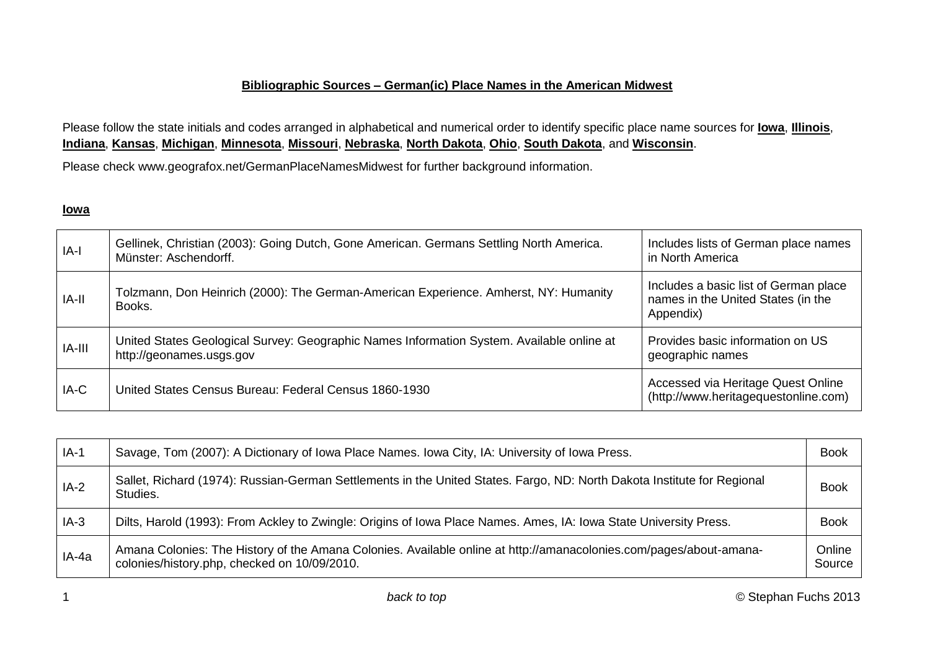#### **Bibliographic Sources – German(ic) Place Names in the American Midwest**

<span id="page-0-0"></span>Please follow the state initials and codes arranged in alphabetical and numerical order to identify specific place name sources for **Iowa**, **[Illinois](#page-2-0)**, **[Indiana](#page-6-0)**, **[Kansas](#page-10-0)**, **[Michigan](#page-13-0)**, **[Minnesota](#page-15-0)**, **[Missouri](#page-17-0)**, **[Nebraska](#page-19-0)**, **[North Dakota](#page-21-0)**, **[Ohio](#page-22-0)**, **[South Dakota](#page-27-0)**, and **[Wisconsin](#page-28-0)**.

Please check www.geografox.net/GermanPlaceNamesMidwest for further background information.

### **Iowa**

| IA-l   | Gellinek, Christian (2003): Going Dutch, Gone American. Germans Settling North America.<br>Münster: Aschendorff.      | Includes lists of German place names<br>in North America                                 |
|--------|-----------------------------------------------------------------------------------------------------------------------|------------------------------------------------------------------------------------------|
| IA-II  | Tolzmann, Don Heinrich (2000): The German-American Experience. Amherst, NY: Humanity<br>Books.                        | Includes a basic list of German place<br>names in the United States (in the<br>Appendix) |
| IA-III | United States Geological Survey: Geographic Names Information System. Available online at<br>http://geonames.usgs.gov | Provides basic information on US<br>geographic names                                     |
| IA-C   | United States Census Bureau: Federal Census 1860-1930                                                                 | Accessed via Heritage Quest Online<br>(http://www.heritagequestonline.com)               |

| $IA-1$ | Savage, Tom (2007): A Dictionary of Iowa Place Names. Iowa City, IA: University of Iowa Press.                                                                     | <b>Book</b>      |
|--------|--------------------------------------------------------------------------------------------------------------------------------------------------------------------|------------------|
| $IA-2$ | Sallet, Richard (1974): Russian-German Settlements in the United States. Fargo, ND: North Dakota Institute for Regional<br>Studies.                                | <b>Book</b>      |
| $IA-3$ | Dilts, Harold (1993): From Ackley to Zwingle: Origins of Iowa Place Names. Ames, IA: Iowa State University Press.                                                  | <b>Book</b>      |
| IA-4a  | Amana Colonies: The History of the Amana Colonies. Available online at http://amanacolonies.com/pages/about-amana-<br>colonies/history.php, checked on 10/09/2010. | Online<br>Source |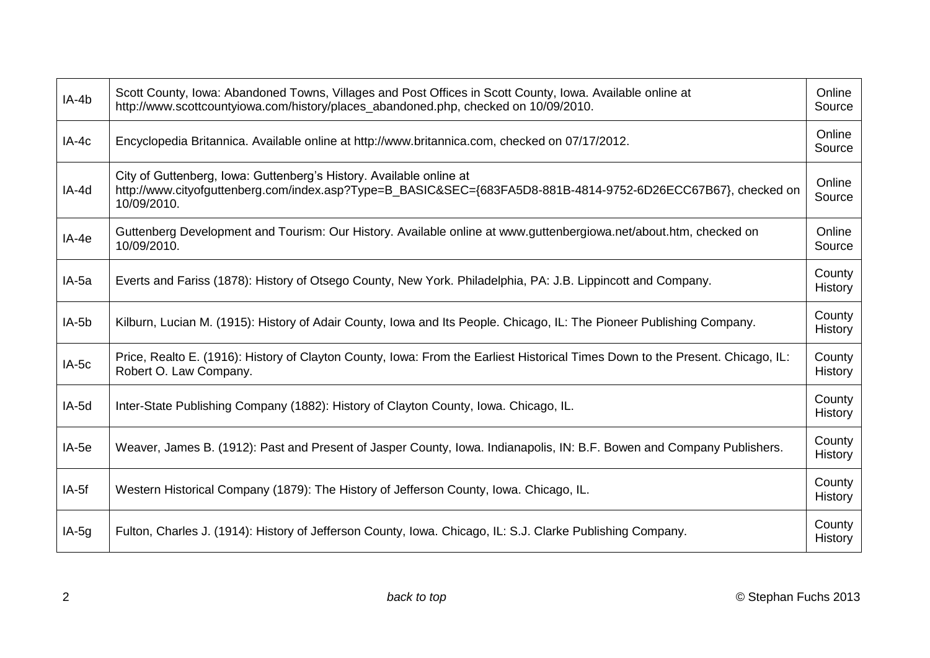| $IA-4b$ | Scott County, Iowa: Abandoned Towns, Villages and Post Offices in Scott County, Iowa. Available online at<br>http://www.scottcountyiowa.com/history/places_abandoned.php, checked on 10/09/2010.    | Online<br>Source         |
|---------|-----------------------------------------------------------------------------------------------------------------------------------------------------------------------------------------------------|--------------------------|
| $IA-4c$ | Encyclopedia Britannica. Available online at http://www.britannica.com, checked on 07/17/2012.                                                                                                      | Online<br>Source         |
| IA-4d   | City of Guttenberg, Iowa: Guttenberg's History. Available online at<br>http://www.cityofguttenberg.com/index.asp?Type=B_BASIC&SEC={683FA5D8-881B-4814-9752-6D26ECC67B67}, checked on<br>10/09/2010. | Online<br>Source         |
| $IA-4e$ | Guttenberg Development and Tourism: Our History. Available online at www.guttenbergiowa.net/about.htm, checked on<br>10/09/2010.                                                                    | Online<br>Source         |
| $IA-5a$ | Everts and Fariss (1878): History of Otsego County, New York. Philadelphia, PA: J.B. Lippincott and Company.                                                                                        | County<br>History        |
| $IA-5b$ | Kilburn, Lucian M. (1915): History of Adair County, Iowa and Its People. Chicago, IL: The Pioneer Publishing Company.                                                                               | County<br>History        |
| $IA-5c$ | Price, Realto E. (1916): History of Clayton County, Iowa: From the Earliest Historical Times Down to the Present. Chicago, IL:<br>Robert O. Law Company.                                            | County<br>History        |
| IA-5d   | Inter-State Publishing Company (1882): History of Clayton County, Iowa. Chicago, IL.                                                                                                                | County<br><b>History</b> |
| $IA-5e$ | Weaver, James B. (1912): Past and Present of Jasper County, Iowa. Indianapolis, IN: B.F. Bowen and Company Publishers.                                                                              | County<br><b>History</b> |
| $IA-5f$ | Western Historical Company (1879): The History of Jefferson County, Iowa. Chicago, IL.                                                                                                              | County<br>History        |
| $IA-5g$ | Fulton, Charles J. (1914): History of Jefferson County, Iowa. Chicago, IL: S.J. Clarke Publishing Company.                                                                                          | County<br><b>History</b> |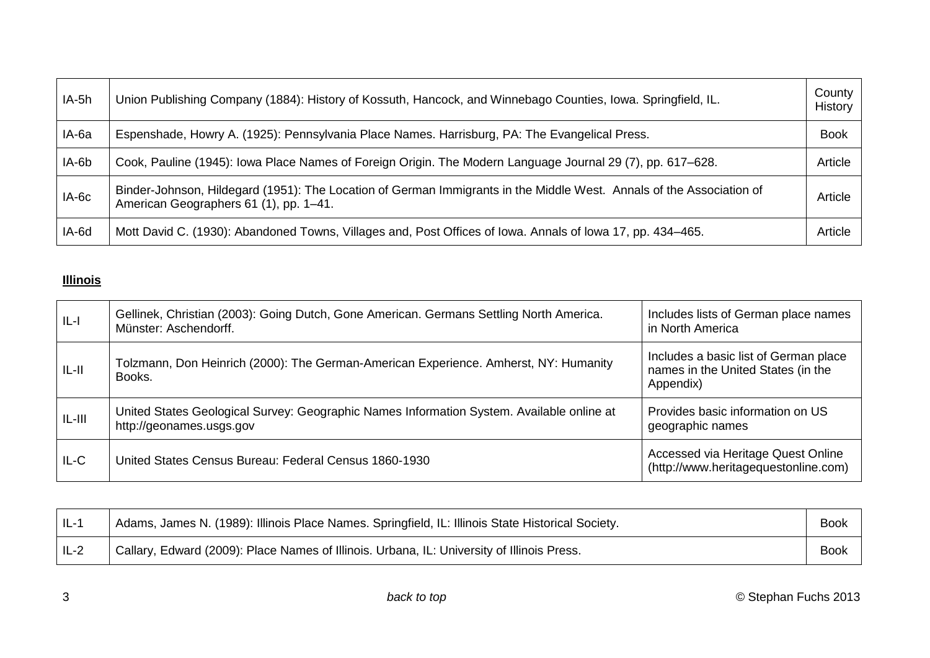<span id="page-2-0"></span>

| IA-5h   | Union Publishing Company (1884): History of Kossuth, Hancock, and Winnebago Counties, Iowa. Springfield, IL.                                                   | County<br>History |
|---------|----------------------------------------------------------------------------------------------------------------------------------------------------------------|-------------------|
| IA-6a   | Espenshade, Howry A. (1925): Pennsylvania Place Names. Harrisburg, PA: The Evangelical Press.                                                                  | <b>Book</b>       |
| IA-6b   | Cook, Pauline (1945): Iowa Place Names of Foreign Origin. The Modern Language Journal 29 (7), pp. 617–628.                                                     | Article           |
| $IA-6c$ | Binder-Johnson, Hildegard (1951): The Location of German Immigrants in the Middle West. Annals of the Association of<br>American Geographers 61 (1), pp. 1-41. | Article           |
| IA-6d   | Mott David C. (1930): Abandoned Towns, Villages and, Post Offices of Iowa. Annals of Iowa 17, pp. 434–465.                                                     | Article           |

# **Illinois**

| $ L -$   | Gellinek, Christian (2003): Going Dutch, Gone American. Germans Settling North America.<br>Münster: Aschendorff.      | Includes lists of German place names<br>in North America                                 |
|----------|-----------------------------------------------------------------------------------------------------------------------|------------------------------------------------------------------------------------------|
| $IL-II$  | Tolzmann, Don Heinrich (2000): The German-American Experience. Amherst, NY: Humanity<br>Books.                        | Includes a basic list of German place<br>names in the United States (in the<br>Appendix) |
| $IL-III$ | United States Geological Survey: Geographic Names Information System. Available online at<br>http://geonames.usgs.gov | Provides basic information on US<br>geographic names                                     |
| $IL-C$   | United States Census Bureau: Federal Census 1860-1930                                                                 | Accessed via Heritage Quest Online<br>(http://www.heritagequestonline.com)               |

| $IL-1$ | Adams, James N. (1989): Illinois Place Names. Springfield, IL: Illinois State Historical Society. | <b>Book</b> |
|--------|---------------------------------------------------------------------------------------------------|-------------|
| $IL-2$ | Callary, Edward (2009): Place Names of Illinois. Urbana, IL: University of Illinois Press.        | <b>Book</b> |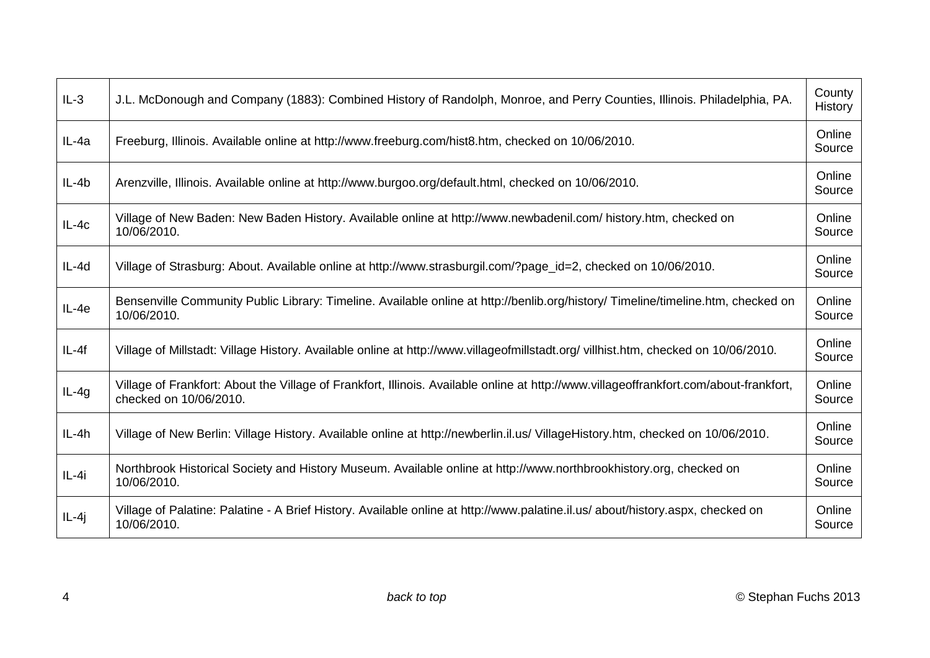| $IL-3$  | J.L. McDonough and Company (1883): Combined History of Randolph, Monroe, and Perry Counties, Illinois. Philadelphia, PA.                                         | County<br>History |
|---------|------------------------------------------------------------------------------------------------------------------------------------------------------------------|-------------------|
| IL-4a   | Freeburg, Illinois. Available online at http://www.freeburg.com/hist8.htm, checked on 10/06/2010.                                                                | Online<br>Source  |
| $IL-4b$ | Arenzville, Illinois. Available online at http://www.burgoo.org/default.html, checked on 10/06/2010.                                                             | Online<br>Source  |
| $IL-4c$ | Village of New Baden: New Baden History. Available online at http://www.newbadenil.com/ history.htm, checked on<br>10/06/2010.                                   | Online<br>Source  |
| IL-4d   | Village of Strasburg: About. Available online at http://www.strasburgil.com/?page_id=2, checked on 10/06/2010.                                                   | Online<br>Source  |
| $IL-4e$ | Bensenville Community Public Library: Timeline. Available online at http://benlib.org/history/ Timeline/timeline.htm, checked on<br>10/06/2010.                  | Online<br>Source  |
| $IL-4f$ | Village of Millstadt: Village History. Available online at http://www.villageofmillstadt.org/ villhist.htm, checked on 10/06/2010.                               | Online<br>Source  |
| $IL-4g$ | Village of Frankfort: About the Village of Frankfort, Illinois. Available online at http://www.villageoffrankfort.com/about-frankfort,<br>checked on 10/06/2010. | Online<br>Source  |
| $IL-4h$ | Village of New Berlin: Village History. Available online at http://newberlin.il.us/ VillageHistory.htm, checked on 10/06/2010.                                   | Online<br>Source  |
| $IL-4i$ | Northbrook Historical Society and History Museum. Available online at http://www.northbrookhistory.org, checked on<br>10/06/2010.                                | Online<br>Source  |
| $IL-4j$ | Village of Palatine: Palatine - A Brief History. Available online at http://www.palatine.il.us/about/history.aspx, checked on<br>10/06/2010.                     | Online<br>Source  |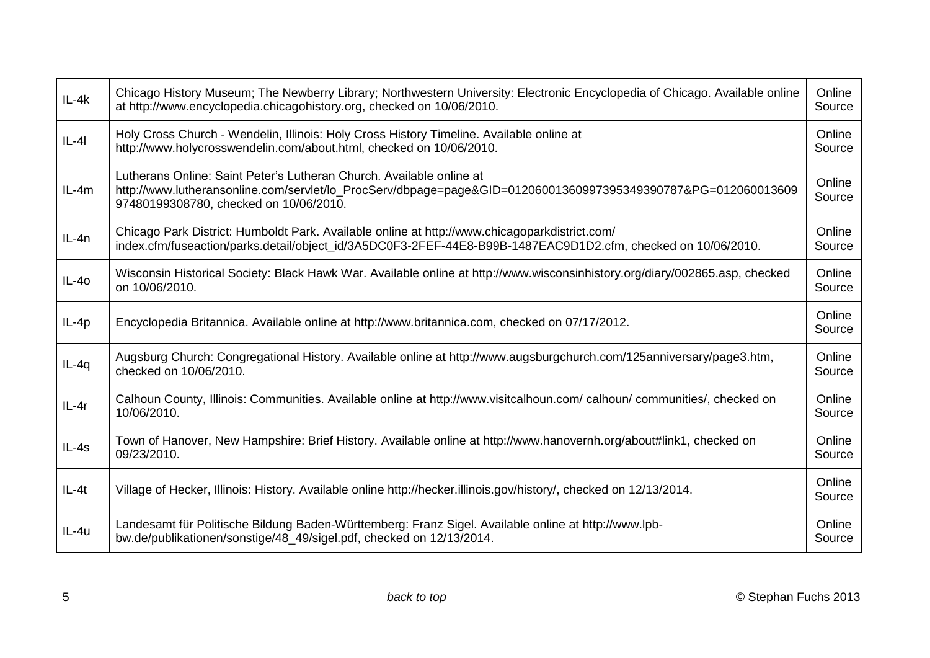| $IL-4k$ | Chicago History Museum; The Newberry Library; Northwestern University: Electronic Encyclopedia of Chicago. Available online<br>at http://www.encyclopedia.chicagohistory.org, checked on 10/06/2010.                            | Online<br>Source |
|---------|---------------------------------------------------------------------------------------------------------------------------------------------------------------------------------------------------------------------------------|------------------|
| $IL-4I$ | Holy Cross Church - Wendelin, Illinois: Holy Cross History Timeline. Available online at<br>http://www.holycrosswendelin.com/about.html, checked on 10/06/2010.                                                                 | Online<br>Source |
| $IL-4m$ | Lutherans Online: Saint Peter's Lutheran Church. Available online at<br>http://www.lutheransonline.com/servlet/lo_ProcServ/dbpage=page&GID=01206001360997395349390787&PG=012060013609<br>97480199308780, checked on 10/06/2010. | Online<br>Source |
| $IL-4n$ | Chicago Park District: Humboldt Park. Available online at http://www.chicagoparkdistrict.com/<br>index.cfm/fuseaction/parks.detail/object_id/3A5DC0F3-2FEF-44E8-B99B-1487EAC9D1D2.cfm, checked on 10/06/2010.                   | Online<br>Source |
| $IL-40$ | Wisconsin Historical Society: Black Hawk War. Available online at http://www.wisconsinhistory.org/diary/002865.asp, checked<br>on 10/06/2010.                                                                                   | Online<br>Source |
| $IL-4p$ | Encyclopedia Britannica. Available online at http://www.britannica.com, checked on 07/17/2012.                                                                                                                                  | Online<br>Source |
| $IL-4q$ | Augsburg Church: Congregational History. Available online at http://www.augsburgchurch.com/125anniversary/page3.htm,<br>checked on 10/06/2010.                                                                                  | Online<br>Source |
| $IL-4r$ | Calhoun County, Illinois: Communities. Available online at http://www.visitcalhoun.com/calhoun/communities/, checked on<br>10/06/2010.                                                                                          | Online<br>Source |
| $IL-4s$ | Town of Hanover, New Hampshire: Brief History. Available online at http://www.hanovernh.org/about#link1, checked on<br>09/23/2010.                                                                                              | Online<br>Source |
| $IL-4t$ | Village of Hecker, Illinois: History. Available online http://hecker.illinois.gov/history/, checked on 12/13/2014.                                                                                                              | Online<br>Source |
| IL-4u   | Landesamt für Politische Bildung Baden-Württemberg: Franz Sigel. Available online at http://www.lpb-<br>bw.de/publikationen/sonstige/48_49/sigel.pdf, checked on 12/13/2014.                                                    | Online<br>Source |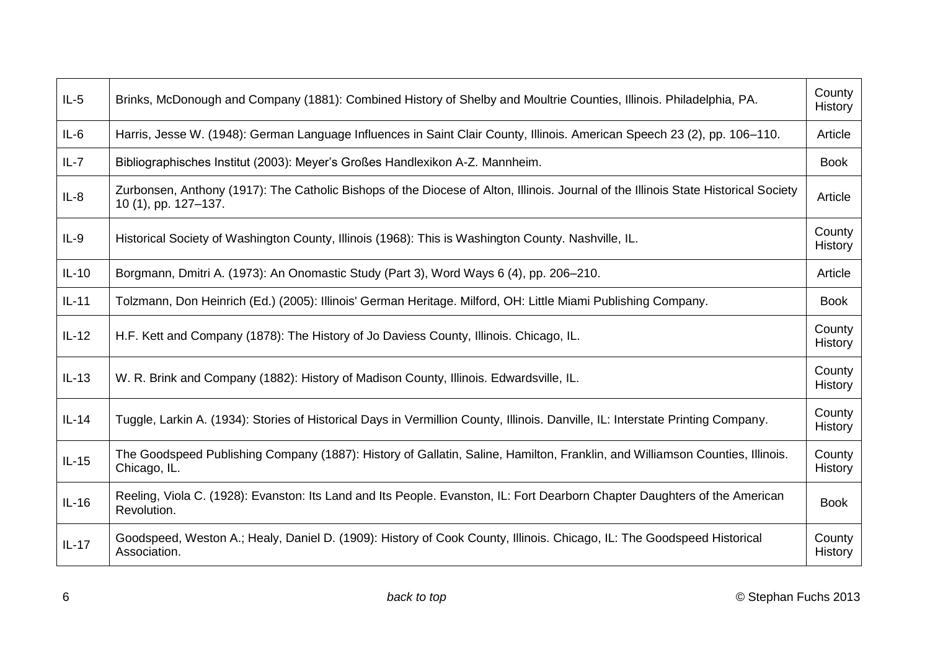| $IL-5$   | Brinks, McDonough and Company (1881): Combined History of Shelby and Moultrie Counties, Illinois. Philadelphia, PA.                                         | County<br>History        |
|----------|-------------------------------------------------------------------------------------------------------------------------------------------------------------|--------------------------|
| $IL-6$   | Harris, Jesse W. (1948): German Language Influences in Saint Clair County, Illinois. American Speech 23 (2), pp. 106–110.                                   | Article                  |
| $IL - 7$ | Bibliographisches Institut (2003): Meyer's Großes Handlexikon A-Z. Mannheim.                                                                                | <b>Book</b>              |
| $IL-8$   | Zurbonsen, Anthony (1917): The Catholic Bishops of the Diocese of Alton, Illinois. Journal of the Illinois State Historical Society<br>10 (1), pp. 127-137. | Article                  |
| $IL-9$   | Historical Society of Washington County, Illinois (1968): This is Washington County. Nashville, IL.                                                         | County<br>History        |
| $IL-10$  | Borgmann, Dmitri A. (1973): An Onomastic Study (Part 3), Word Ways 6 (4), pp. 206–210.                                                                      | Article                  |
| $IL-11$  | Tolzmann, Don Heinrich (Ed.) (2005): Illinois' German Heritage. Milford, OH: Little Miami Publishing Company.                                               | <b>Book</b>              |
| $IL-12$  | H.F. Kett and Company (1878): The History of Jo Daviess County, Illinois. Chicago, IL.                                                                      | County<br>History        |
| $IL-13$  | W. R. Brink and Company (1882): History of Madison County, Illinois. Edwardsville, IL.                                                                      | County<br><b>History</b> |
| $IL-14$  | Tuggle, Larkin A. (1934): Stories of Historical Days in Vermillion County, Illinois. Danville, IL: Interstate Printing Company.                             | County<br>History        |
| $IL-15$  | The Goodspeed Publishing Company (1887): History of Gallatin, Saline, Hamilton, Franklin, and Williamson Counties, Illinois.<br>Chicago, IL.                | County<br><b>History</b> |
| $IL-16$  | Reeling, Viola C. (1928): Evanston: Its Land and Its People. Evanston, IL: Fort Dearborn Chapter Daughters of the American<br>Revolution.                   | <b>Book</b>              |
| $IL-17$  | Goodspeed, Weston A.; Healy, Daniel D. (1909): History of Cook County, Illinois. Chicago, IL: The Goodspeed Historical<br>Association.                      | County<br><b>History</b> |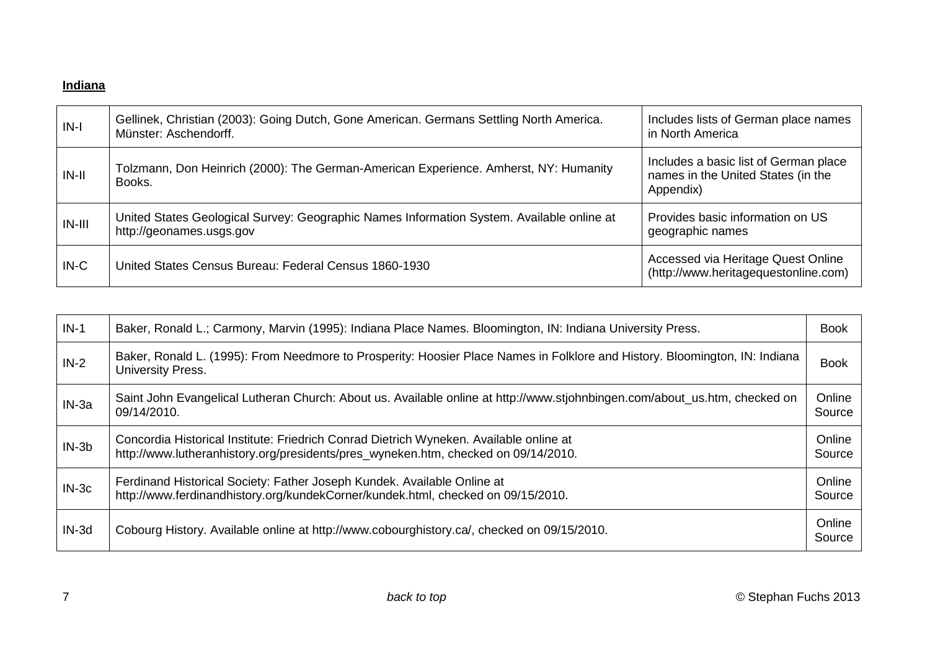# <span id="page-6-0"></span>**Indiana**

| $IN-I$   | Gellinek, Christian (2003): Going Dutch, Gone American. Germans Settling North America.<br>Münster: Aschendorff.      | Includes lists of German place names<br>in North America                                 |
|----------|-----------------------------------------------------------------------------------------------------------------------|------------------------------------------------------------------------------------------|
| $IN-II$  | Tolzmann, Don Heinrich (2000): The German-American Experience. Amherst, NY: Humanity<br>Books.                        | Includes a basic list of German place<br>names in the United States (in the<br>Appendix) |
| $IN-III$ | United States Geological Survey: Geographic Names Information System. Available online at<br>http://geonames.usgs.gov | Provides basic information on US<br>geographic names                                     |
| $IN-C$   | United States Census Bureau: Federal Census 1860-1930                                                                 | Accessed via Heritage Quest Online<br>(http://www.heritagequestonline.com)               |

| $IN-1$  | Baker, Ronald L.; Carmony, Marvin (1995): Indiana Place Names. Bloomington, IN: Indiana University Press.                                                                    | <b>Book</b>      |
|---------|------------------------------------------------------------------------------------------------------------------------------------------------------------------------------|------------------|
| $IN-2$  | Baker, Ronald L. (1995): From Needmore to Prosperity: Hoosier Place Names in Folklore and History. Bloomington, IN: Indiana<br>University Press.                             | <b>Book</b>      |
| $IN-3a$ | Saint John Evangelical Lutheran Church: About us. Available online at http://www.stjohnbingen.com/about_us.htm, checked on<br>09/14/2010.                                    | Online<br>Source |
| $IN-3b$ | Concordia Historical Institute: Friedrich Conrad Dietrich Wyneken. Available online at<br>http://www.lutheranhistory.org/presidents/pres_wyneken.htm, checked on 09/14/2010. | Online<br>Source |
| $IN-3c$ | Ferdinand Historical Society: Father Joseph Kundek. Available Online at<br>http://www.ferdinandhistory.org/kundekCorner/kundek.html, checked on 09/15/2010.                  | Online<br>Source |
| $IN-3d$ | Cobourg History. Available online at http://www.cobourghistory.ca/, checked on 09/15/2010.                                                                                   | Online<br>Source |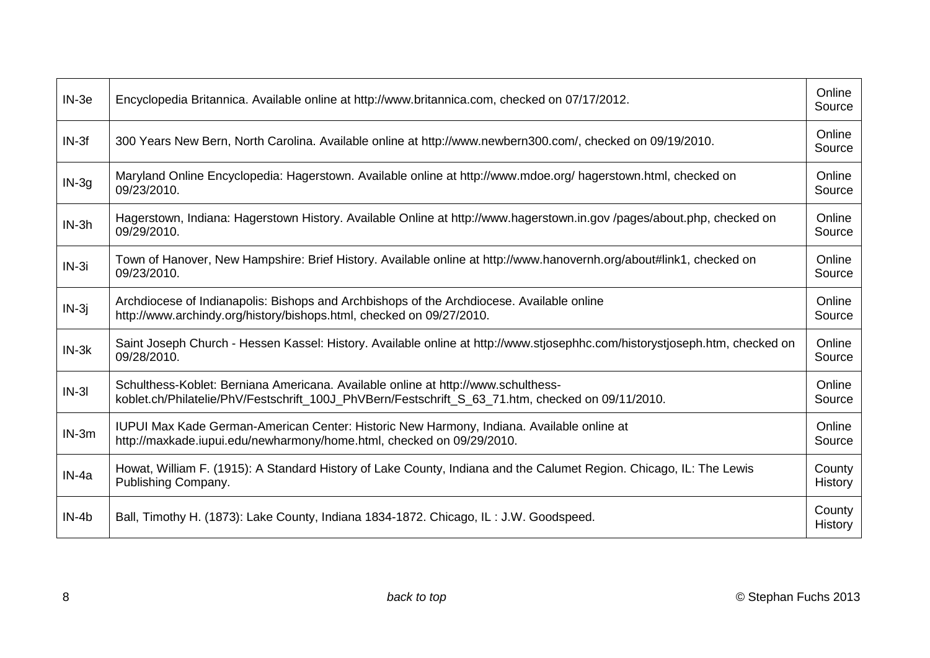| $IN-3e$ | Encyclopedia Britannica. Available online at http://www.britannica.com, checked on 07/17/2012.                                                                                         | Online<br>Source  |
|---------|----------------------------------------------------------------------------------------------------------------------------------------------------------------------------------------|-------------------|
| $IN-3f$ | 300 Years New Bern, North Carolina. Available online at http://www.newbern300.com/, checked on 09/19/2010.                                                                             | Online<br>Source  |
| $IN-3g$ | Maryland Online Encyclopedia: Hagerstown. Available online at http://www.mdoe.org/ hagerstown.html, checked on<br>09/23/2010.                                                          | Online<br>Source  |
| $IN-3h$ | Hagerstown, Indiana: Hagerstown History. Available Online at http://www.hagerstown.in.gov/pages/about.php, checked on<br>09/29/2010.                                                   | Online<br>Source  |
| $IN-3i$ | Town of Hanover, New Hampshire: Brief History. Available online at http://www.hanovernh.org/about#link1, checked on<br>09/23/2010.                                                     | Online<br>Source  |
| $IN-3j$ | Archdiocese of Indianapolis: Bishops and Archbishops of the Archdiocese. Available online<br>http://www.archindy.org/history/bishops.html, checked on 09/27/2010.                      | Online<br>Source  |
| $IN-3k$ | Saint Joseph Church - Hessen Kassel: History. Available online at http://www.stjosephhc.com/historystjoseph.htm, checked on<br>09/28/2010.                                             | Online<br>Source  |
| $IN-3I$ | Schulthess-Koblet: Berniana Americana. Available online at http://www.schulthess-<br>koblet.ch/Philatelie/PhV/Festschrift 100J PhVBern/Festschrift S 63 71.htm, checked on 09/11/2010. | Online<br>Source  |
| $IN-3m$ | IUPUI Max Kade German-American Center: Historic New Harmony, Indiana. Available online at<br>http://maxkade.iupui.edu/newharmony/home.html, checked on 09/29/2010.                     | Online<br>Source  |
| $IN-4a$ | Howat, William F. (1915): A Standard History of Lake County, Indiana and the Calumet Region. Chicago, IL: The Lewis<br>Publishing Company.                                             | County<br>History |
| $IN-4b$ | Ball, Timothy H. (1873): Lake County, Indiana 1834-1872. Chicago, IL: J.W. Goodspeed.                                                                                                  | County<br>History |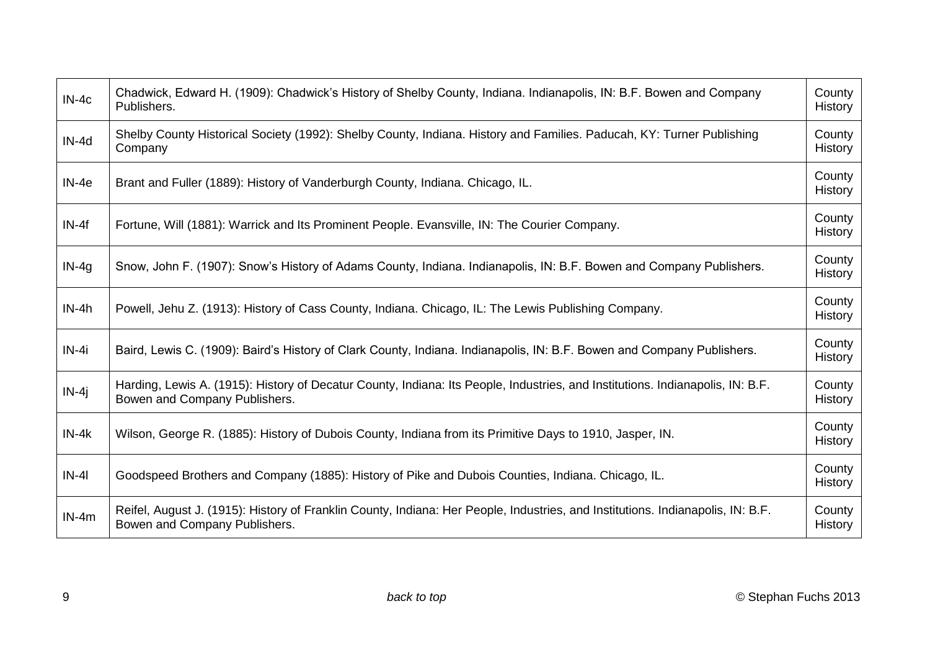| $IN-4c$ | Chadwick, Edward H. (1909): Chadwick's History of Shelby County, Indiana. Indianapolis, IN: B.F. Bowen and Company<br>Publishers.                                | County<br>History |
|---------|------------------------------------------------------------------------------------------------------------------------------------------------------------------|-------------------|
| IN-4d   | Shelby County Historical Society (1992): Shelby County, Indiana. History and Families. Paducah, KY: Turner Publishing<br>Company                                 | County<br>History |
| $IN-4e$ | Brant and Fuller (1889): History of Vanderburgh County, Indiana. Chicago, IL.                                                                                    | County<br>History |
| $IN-4f$ | Fortune, Will (1881): Warrick and Its Prominent People. Evansville, IN: The Courier Company.                                                                     | County<br>History |
| $IN-4q$ | Snow, John F. (1907): Snow's History of Adams County, Indiana. Indianapolis, IN: B.F. Bowen and Company Publishers.                                              | County<br>History |
| $IN-4h$ | Powell, Jehu Z. (1913): History of Cass County, Indiana. Chicago, IL: The Lewis Publishing Company.                                                              | County<br>History |
| $IN-4i$ | Baird, Lewis C. (1909): Baird's History of Clark County, Indiana. Indianapolis, IN: B.F. Bowen and Company Publishers.                                           | County<br>History |
| $IN-4j$ | Harding, Lewis A. (1915): History of Decatur County, Indiana: Its People, Industries, and Institutions. Indianapolis, IN: B.F.<br>Bowen and Company Publishers.  | County<br>History |
| $IN-4k$ | Wilson, George R. (1885): History of Dubois County, Indiana from its Primitive Days to 1910, Jasper, IN.                                                         | County<br>History |
| $IN-4I$ | Goodspeed Brothers and Company (1885): History of Pike and Dubois Counties, Indiana. Chicago, IL.                                                                | County<br>History |
| $IN-4m$ | Reifel, August J. (1915): History of Franklin County, Indiana: Her People, Industries, and Institutions. Indianapolis, IN: B.F.<br>Bowen and Company Publishers. | County<br>History |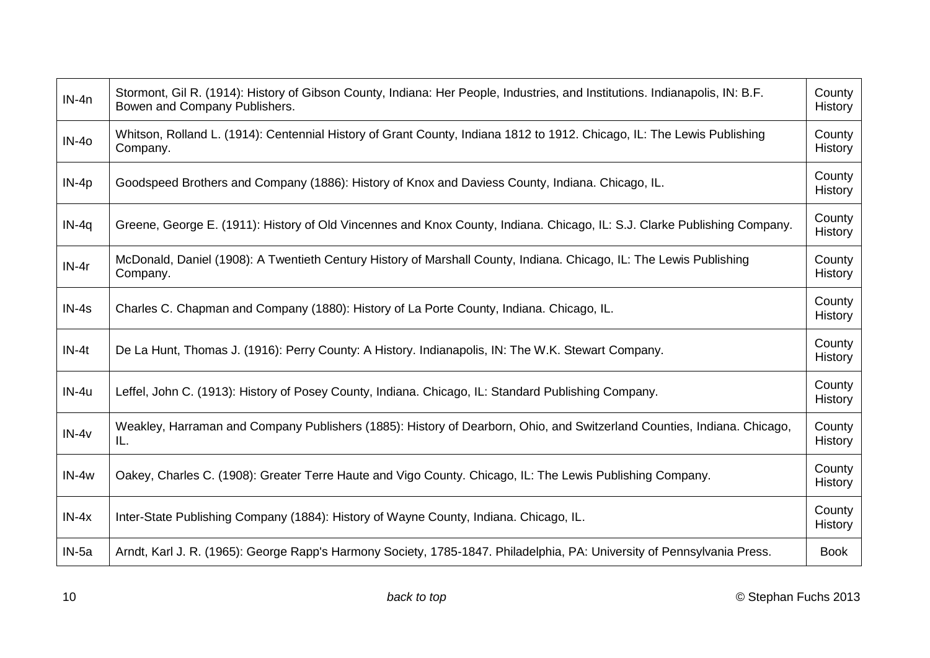| $IN-4n$ | Stormont, Gil R. (1914): History of Gibson County, Indiana: Her People, Industries, and Institutions. Indianapolis, IN: B.F.<br>Bowen and Company Publishers. | County<br>History |
|---------|---------------------------------------------------------------------------------------------------------------------------------------------------------------|-------------------|
| $IN-40$ | Whitson, Rolland L. (1914): Centennial History of Grant County, Indiana 1812 to 1912. Chicago, IL: The Lewis Publishing<br>Company.                           | County<br>History |
| $IN-4p$ | Goodspeed Brothers and Company (1886): History of Knox and Daviess County, Indiana. Chicago, IL.                                                              | County<br>History |
| $IN-4q$ | Greene, George E. (1911): History of Old Vincennes and Knox County, Indiana. Chicago, IL: S.J. Clarke Publishing Company.                                     | County<br>History |
| $IN-4r$ | McDonald, Daniel (1908): A Twentieth Century History of Marshall County, Indiana. Chicago, IL: The Lewis Publishing<br>Company.                               | County<br>History |
| $IN-4s$ | Charles C. Chapman and Company (1880): History of La Porte County, Indiana. Chicago, IL.                                                                      | County<br>History |
| $IN-4t$ | De La Hunt, Thomas J. (1916): Perry County: A History. Indianapolis, IN: The W.K. Stewart Company.                                                            | County<br>History |
| IN-4u   | Leffel, John C. (1913): History of Posey County, Indiana. Chicago, IL: Standard Publishing Company.                                                           | County<br>History |
| $IN-4v$ | Weakley, Harraman and Company Publishers (1885): History of Dearborn, Ohio, and Switzerland Counties, Indiana. Chicago,<br>IL.                                | County<br>History |
| $IN-4w$ | Oakey, Charles C. (1908): Greater Terre Haute and Vigo County. Chicago, IL: The Lewis Publishing Company.                                                     | County<br>History |
| $IN-4x$ | Inter-State Publishing Company (1884): History of Wayne County, Indiana. Chicago, IL.                                                                         | County<br>History |
| IN-5a   | Arndt, Karl J. R. (1965): George Rapp's Harmony Society, 1785-1847. Philadelphia, PA: University of Pennsylvania Press.                                       | <b>Book</b>       |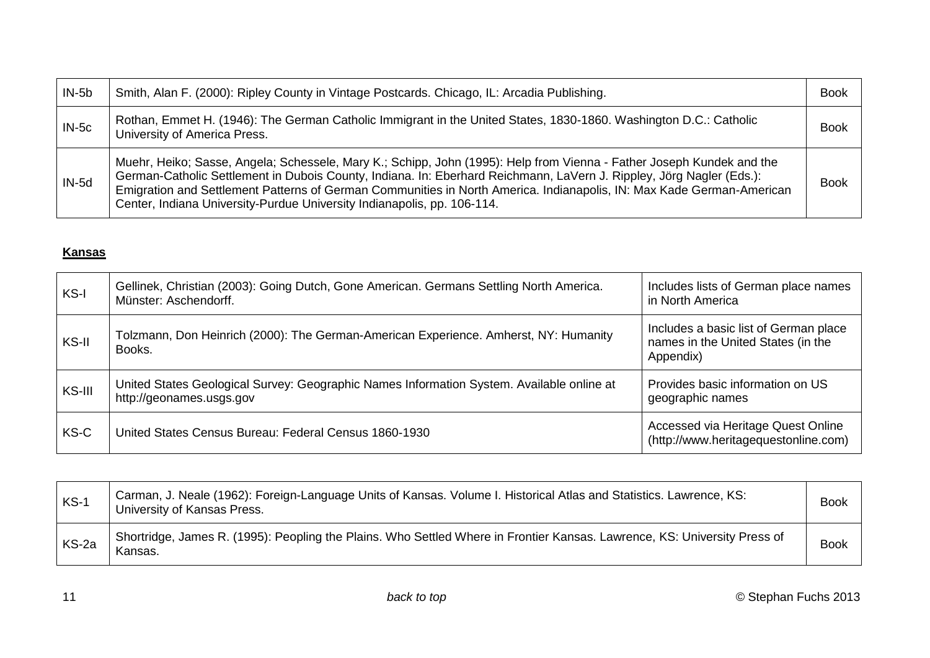<span id="page-10-0"></span>

| $IN-5b$ | Smith, Alan F. (2000): Ripley County in Vintage Postcards. Chicago, IL: Arcadia Publishing.                                                                                                                                                                                                                                                                                                                                                       | <b>Book</b> |
|---------|---------------------------------------------------------------------------------------------------------------------------------------------------------------------------------------------------------------------------------------------------------------------------------------------------------------------------------------------------------------------------------------------------------------------------------------------------|-------------|
| $IN-5c$ | Rothan, Emmet H. (1946): The German Catholic Immigrant in the United States, 1830-1860. Washington D.C.: Catholic<br>University of America Press.                                                                                                                                                                                                                                                                                                 | <b>Book</b> |
| $IN-5d$ | Muehr, Heiko; Sasse, Angela; Schessele, Mary K.; Schipp, John (1995): Help from Vienna - Father Joseph Kundek and the<br>German-Catholic Settlement in Dubois County, Indiana. In: Eberhard Reichmann, LaVern J. Rippley, Jörg Nagler (Eds.):<br>Emigration and Settlement Patterns of German Communities in North America. Indianapolis, IN: Max Kade German-American<br>Center, Indiana University-Purdue University Indianapolis, pp. 106-114. | <b>Book</b> |

### **Kansas**

| KS-I   | Gellinek, Christian (2003): Going Dutch, Gone American. Germans Settling North America.<br>Münster: Aschendorff.      | Includes lists of German place names<br>in North America                                 |
|--------|-----------------------------------------------------------------------------------------------------------------------|------------------------------------------------------------------------------------------|
| KS-II  | Tolzmann, Don Heinrich (2000): The German-American Experience. Amherst, NY: Humanity<br>Books.                        | Includes a basic list of German place<br>names in the United States (in the<br>Appendix) |
| KS-III | United States Geological Survey: Geographic Names Information System. Available online at<br>http://geonames.usgs.gov | Provides basic information on US<br>geographic names                                     |
| KS-C   | United States Census Bureau: Federal Census 1860-1930                                                                 | Accessed via Heritage Quest Online<br>(http://www.heritagequestonline.com)               |

| $KS-1$ | Carman, J. Neale (1962): Foreign-Language Units of Kansas. Volume I. Historical Atlas and Statistics. Lawrence, KS:<br>University of Kansas Press. | <b>Book</b> |
|--------|----------------------------------------------------------------------------------------------------------------------------------------------------|-------------|
| KS-2a  | Shortridge, James R. (1995): Peopling the Plains. Who Settled Where in Frontier Kansas. Lawrence, KS: University Press of<br>Kansas.               | <b>Book</b> |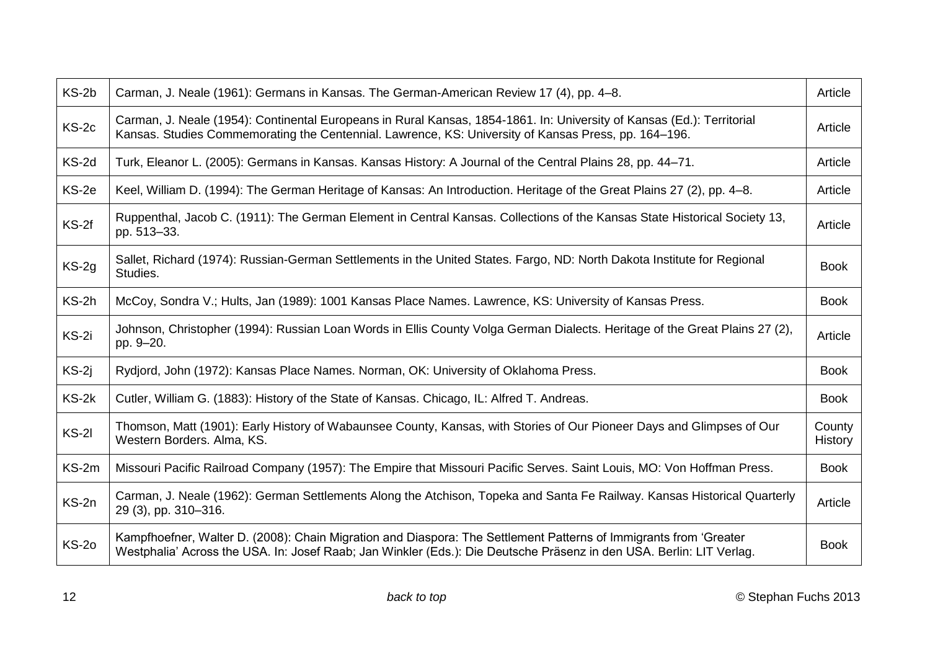| $KS-2b$      | Carman, J. Neale (1961): Germans in Kansas. The German-American Review 17 (4), pp. 4–8.                                                                                                                                                   | Article           |
|--------------|-------------------------------------------------------------------------------------------------------------------------------------------------------------------------------------------------------------------------------------------|-------------------|
| $KS-2c$      | Carman, J. Neale (1954): Continental Europeans in Rural Kansas, 1854-1861. In: University of Kansas (Ed.): Territorial<br>Kansas. Studies Commemorating the Centennial. Lawrence, KS: University of Kansas Press, pp. 164–196.            | Article           |
| KS-2d        | Turk, Eleanor L. (2005): Germans in Kansas. Kansas History: A Journal of the Central Plains 28, pp. 44–71.                                                                                                                                | Article           |
| KS-2e        | Keel, William D. (1994): The German Heritage of Kansas: An Introduction. Heritage of the Great Plains 27 (2), pp. 4–8.                                                                                                                    | Article           |
| $KS-2f$      | Ruppenthal, Jacob C. (1911): The German Element in Central Kansas. Collections of the Kansas State Historical Society 13,<br>pp. 513-33.                                                                                                  | Article           |
| $KS-2g$      | Sallet, Richard (1974): Russian-German Settlements in the United States. Fargo, ND: North Dakota Institute for Regional<br>Studies.                                                                                                       | <b>Book</b>       |
| KS-2h        | McCoy, Sondra V.; Hults, Jan (1989): 1001 Kansas Place Names. Lawrence, KS: University of Kansas Press.                                                                                                                                   | <b>Book</b>       |
| KS-2i        | Johnson, Christopher (1994): Russian Loan Words in Ellis County Volga German Dialects. Heritage of the Great Plains 27 (2),<br>pp. 9-20.                                                                                                  | Article           |
| $KS-2i$      | Rydjord, John (1972): Kansas Place Names. Norman, OK: University of Oklahoma Press.                                                                                                                                                       | <b>Book</b>       |
| $KS-2k$      | Cutler, William G. (1883): History of the State of Kansas. Chicago, IL: Alfred T. Andreas.                                                                                                                                                | <b>Book</b>       |
| $KS-2I$      | Thomson, Matt (1901): Early History of Wabaunsee County, Kansas, with Stories of Our Pioneer Days and Glimpses of Our<br>Western Borders. Alma, KS.                                                                                       | County<br>History |
| KS-2m        | Missouri Pacific Railroad Company (1957): The Empire that Missouri Pacific Serves. Saint Louis, MO: Von Hoffman Press.                                                                                                                    | <b>Book</b>       |
| KS-2n        | Carman, J. Neale (1962): German Settlements Along the Atchison, Topeka and Santa Fe Railway. Kansas Historical Quarterly<br>29 (3), pp. 310-316.                                                                                          | Article           |
| <b>KS-20</b> | Kampfhoefner, Walter D. (2008): Chain Migration and Diaspora: The Settlement Patterns of Immigrants from 'Greater<br>Westphalia' Across the USA. In: Josef Raab; Jan Winkler (Eds.): Die Deutsche Präsenz in den USA. Berlin: LIT Verlag. | <b>Book</b>       |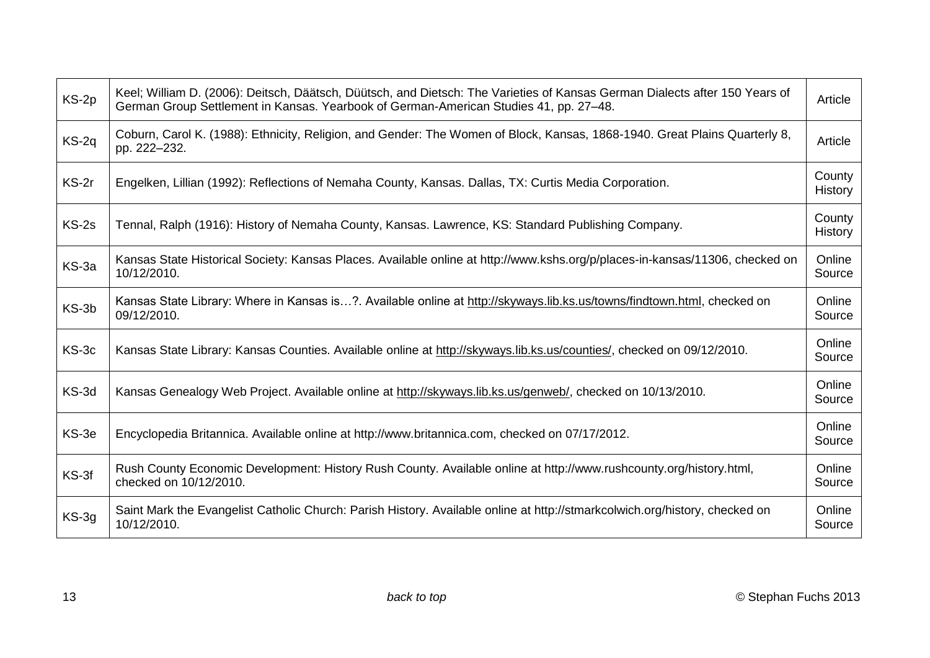| KS-2p   | Keel; William D. (2006): Deitsch, Däätsch, Düütsch, and Dietsch: The Varieties of Kansas German Dialects after 150 Years of<br>German Group Settlement in Kansas. Yearbook of German-American Studies 41, pp. 27-48. | Article           |
|---------|----------------------------------------------------------------------------------------------------------------------------------------------------------------------------------------------------------------------|-------------------|
| KS-2q   | Coburn, Carol K. (1988): Ethnicity, Religion, and Gender: The Women of Block, Kansas, 1868-1940. Great Plains Quarterly 8,<br>pp. 222-232.                                                                           | Article           |
| KS-2r   | Engelken, Lillian (1992): Reflections of Nemaha County, Kansas. Dallas, TX: Curtis Media Corporation.                                                                                                                | County<br>History |
| $KS-2s$ | Tennal, Ralph (1916): History of Nemaha County, Kansas. Lawrence, KS: Standard Publishing Company.                                                                                                                   | County<br>History |
| KS-3a   | Kansas State Historical Society: Kansas Places. Available online at http://www.kshs.org/p/places-in-kansas/11306, checked on<br>10/12/2010.                                                                          | Online<br>Source  |
| KS-3b   | Kansas State Library: Where in Kansas is?. Available online at http://skyways.lib.ks.us/towns/findtown.html, checked on<br>09/12/2010.                                                                               | Online<br>Source  |
| KS-3c   | Kansas State Library: Kansas Counties. Available online at http://skyways.lib.ks.us/counties/, checked on 09/12/2010.                                                                                                | Online<br>Source  |
| KS-3d   | Kansas Genealogy Web Project. Available online at http://skyways.lib.ks.us/genweb/, checked on 10/13/2010.                                                                                                           | Online<br>Source  |
| KS-3e   | Encyclopedia Britannica. Available online at http://www.britannica.com, checked on 07/17/2012.                                                                                                                       | Online<br>Source  |
| KS-3f   | Rush County Economic Development: History Rush County. Available online at http://www.rushcounty.org/history.html,<br>checked on 10/12/2010.                                                                         | Online<br>Source  |
| $KS-3g$ | Saint Mark the Evangelist Catholic Church: Parish History. Available online at http://stmarkcolwich.org/history, checked on<br>10/12/2010.                                                                           | Online<br>Source  |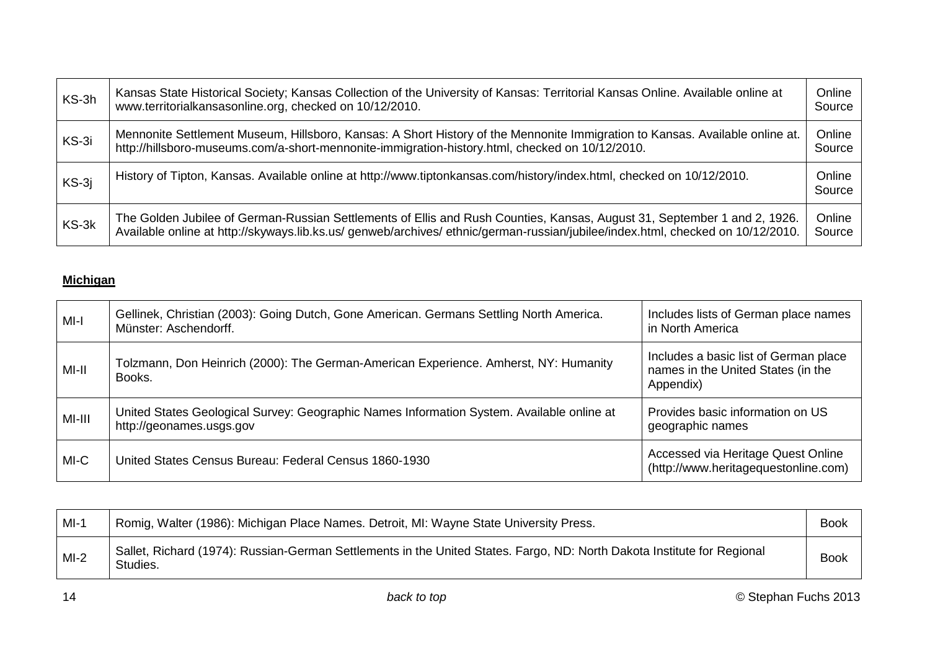<span id="page-13-0"></span>

| KS-3h   | Kansas State Historical Society; Kansas Collection of the University of Kansas: Territorial Kansas Online. Available online at<br>www.territorialkansasonline.org, checked on 10/12/2010.                                                                   | Online<br>Source |
|---------|-------------------------------------------------------------------------------------------------------------------------------------------------------------------------------------------------------------------------------------------------------------|------------------|
| KS-3i   | Mennonite Settlement Museum, Hillsboro, Kansas: A Short History of the Mennonite Immigration to Kansas. Available online at.<br>http://hillsboro-museums.com/a-short-mennonite-immigration-history.html, checked on 10/12/2010.                             | Online<br>Source |
| $KS-3j$ | History of Tipton, Kansas. Available online at http://www.tiptonkansas.com/history/index.html, checked on 10/12/2010.                                                                                                                                       | Online<br>Source |
| KS-3k   | The Golden Jubilee of German-Russian Settlements of Ellis and Rush Counties, Kansas, August 31, September 1 and 2, 1926.<br>Available online at http://skyways.lib.ks.us/ genweb/archives/ ethnic/german-russian/jubilee/index.html, checked on 10/12/2010. | Online<br>Source |

# **Michigan**

| MI-I   | Gellinek, Christian (2003): Going Dutch, Gone American. Germans Settling North America.<br>Münster: Aschendorff.      | Includes lists of German place names<br>in North America                                 |
|--------|-----------------------------------------------------------------------------------------------------------------------|------------------------------------------------------------------------------------------|
| MI-II  | Tolzmann, Don Heinrich (2000): The German-American Experience. Amherst, NY: Humanity<br>Books.                        | Includes a basic list of German place<br>names in the United States (in the<br>Appendix) |
| MI-III | United States Geological Survey: Geographic Names Information System. Available online at<br>http://geonames.usgs.gov | Provides basic information on US<br>geographic names                                     |
| MI-C   | United States Census Bureau: Federal Census 1860-1930                                                                 | Accessed via Heritage Quest Online<br>(http://www.heritagequestonline.com)               |

| $MI-1$ | Romig, Walter (1986): Michigan Place Names. Detroit, MI: Wayne State University Press.                                              | <b>Book</b> |
|--------|-------------------------------------------------------------------------------------------------------------------------------------|-------------|
| $MI-2$ | Sallet, Richard (1974): Russian-German Settlements in the United States. Fargo, ND: North Dakota Institute for Regional<br>Studies. | <b>Book</b> |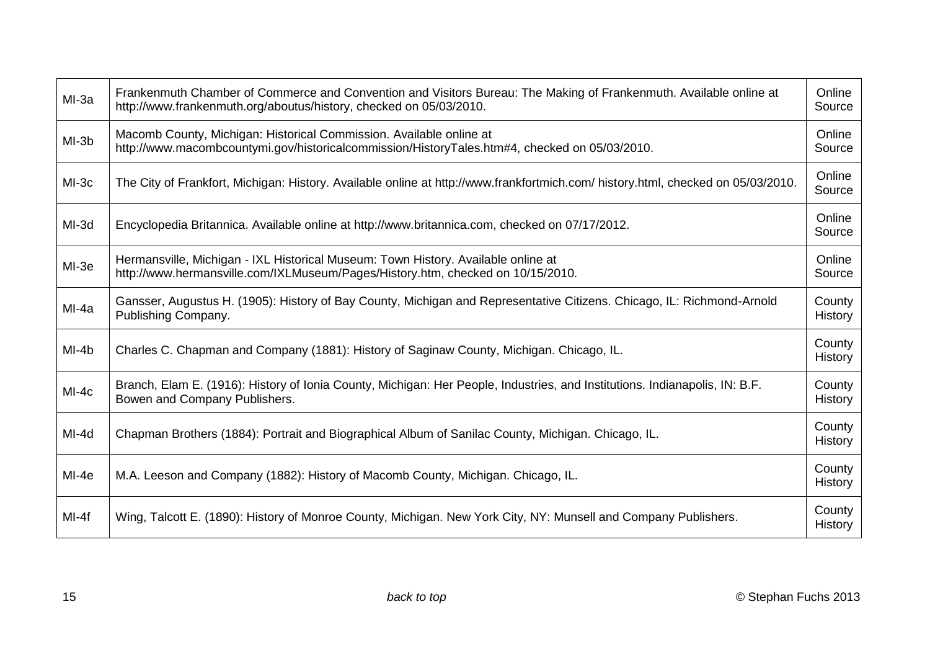| MI-3a   | Frankenmuth Chamber of Commerce and Convention and Visitors Bureau: The Making of Frankenmuth. Available online at<br>http://www.frankenmuth.org/aboutus/history, checked on 05/03/2010. | Online<br>Source  |
|---------|------------------------------------------------------------------------------------------------------------------------------------------------------------------------------------------|-------------------|
| $MI-3b$ | Macomb County, Michigan: Historical Commission. Available online at<br>http://www.macombcountymi.gov/historicalcommission/HistoryTales.htm#4, checked on 05/03/2010.                     | Online<br>Source  |
| MI-3c   | The City of Frankfort, Michigan: History. Available online at http://www.frankfortmich.com/ history.html, checked on 05/03/2010.                                                         | Online<br>Source  |
| MI-3d   | Encyclopedia Britannica. Available online at http://www.britannica.com, checked on 07/17/2012.                                                                                           | Online<br>Source  |
| MI-3e   | Hermansville, Michigan - IXL Historical Museum: Town History. Available online at<br>http://www.hermansville.com/IXLMuseum/Pages/History.htm, checked on 10/15/2010.                     | Online<br>Source  |
| MI-4a   | Gansser, Augustus H. (1905): History of Bay County, Michigan and Representative Citizens. Chicago, IL: Richmond-Arnold<br>Publishing Company.                                            | County<br>History |
| MI-4b   | Charles C. Chapman and Company (1881): History of Saginaw County, Michigan. Chicago, IL.                                                                                                 | County<br>History |
| $MI-4c$ | Branch, Elam E. (1916): History of Ionia County, Michigan: Her People, Industries, and Institutions. Indianapolis, IN: B.F.<br>Bowen and Company Publishers.                             | County<br>History |
| $MI-4d$ | Chapman Brothers (1884): Portrait and Biographical Album of Sanilac County, Michigan. Chicago, IL.                                                                                       | County<br>History |
| MI-4e   | M.A. Leeson and Company (1882): History of Macomb County, Michigan. Chicago, IL.                                                                                                         | County<br>History |
| $MI-4f$ | Wing, Talcott E. (1890): History of Monroe County, Michigan. New York City, NY: Munsell and Company Publishers.                                                                          | County<br>History |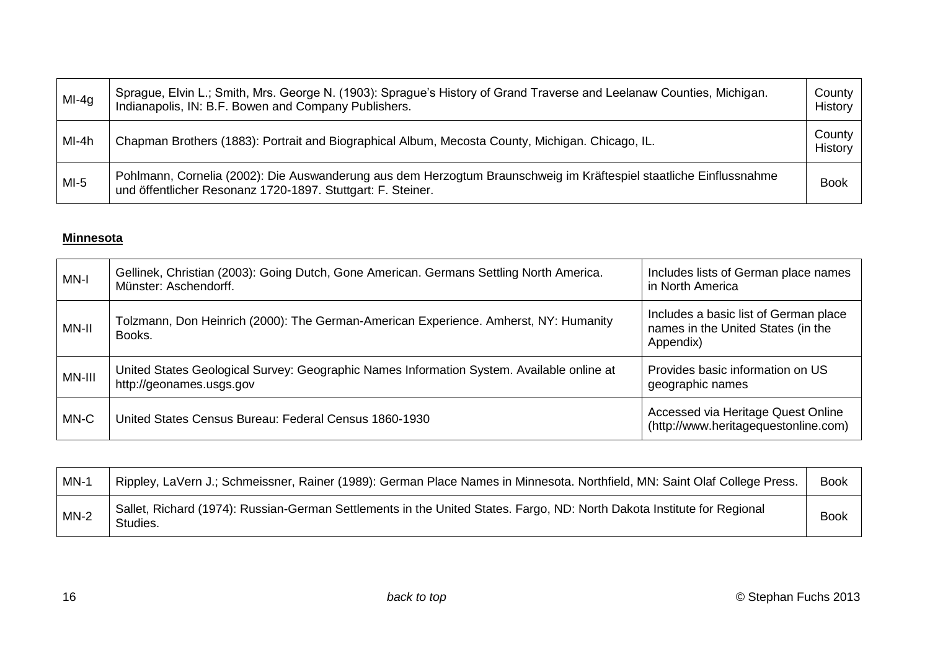<span id="page-15-0"></span>

| $MI-4g$ | Sprague, Elvin L.; Smith, Mrs. George N. (1903): Sprague's History of Grand Traverse and Leelanaw Counties, Michigan.<br>Indianapolis, IN: B.F. Bowen and Company Publishers.     | County<br>History |
|---------|-----------------------------------------------------------------------------------------------------------------------------------------------------------------------------------|-------------------|
| MI-4h   | Chapman Brothers (1883): Portrait and Biographical Album, Mecosta County, Michigan. Chicago, IL.                                                                                  | County<br>History |
| $MI-5$  | Pohlmann, Cornelia (2002): Die Auswanderung aus dem Herzogtum Braunschweig im Kräftespiel staatliche Einflussnahme<br>und öffentlicher Resonanz 1720-1897. Stuttgart: F. Steiner. | <b>Book</b>       |

#### **Minnesota**

| MN-I   | Gellinek, Christian (2003): Going Dutch, Gone American. Germans Settling North America.<br>Münster: Aschendorff.      | Includes lists of German place names<br>in North America                                 |
|--------|-----------------------------------------------------------------------------------------------------------------------|------------------------------------------------------------------------------------------|
| MN-II  | Tolzmann, Don Heinrich (2000): The German-American Experience. Amherst, NY: Humanity<br>Books.                        | Includes a basic list of German place<br>names in the United States (in the<br>Appendix) |
| MN-III | United States Geological Survey: Geographic Names Information System. Available online at<br>http://geonames.usgs.gov | Provides basic information on US<br>geographic names                                     |
| MN-C   | United States Census Bureau: Federal Census 1860-1930                                                                 | Accessed via Heritage Quest Online<br>(http://www.heritagequestonline.com)               |

| $MN-1$ | Rippley, LaVern J.; Schmeissner, Rainer (1989): German Place Names in Minnesota. Northfield, MN: Saint Olaf College Press.          | <b>Book</b> |
|--------|-------------------------------------------------------------------------------------------------------------------------------------|-------------|
| $MN-2$ | Sallet, Richard (1974): Russian-German Settlements in the United States. Fargo, ND: North Dakota Institute for Regional<br>Studies. | <b>Book</b> |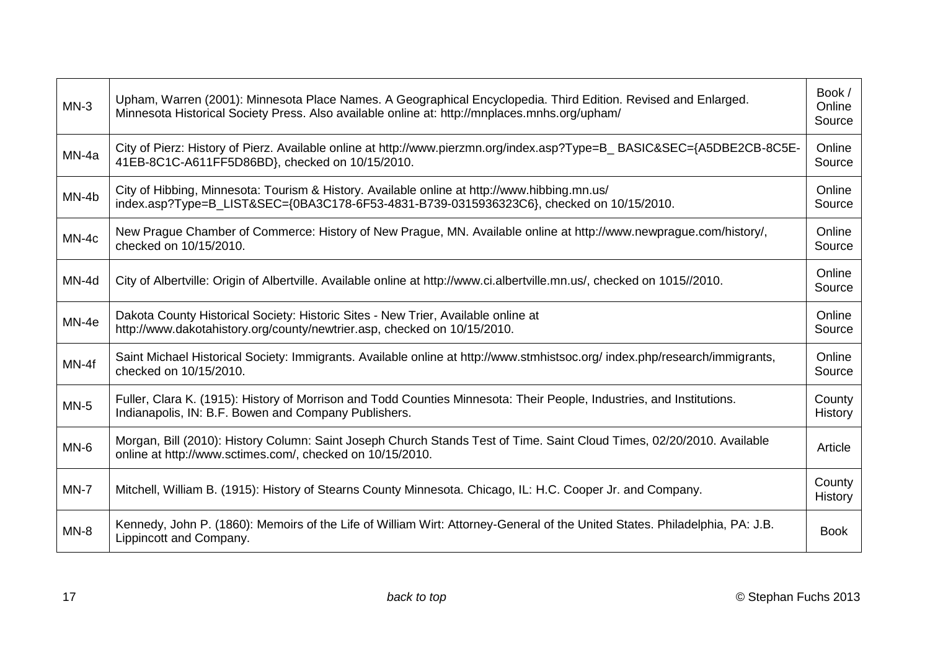| $MN-3$  | Upham, Warren (2001): Minnesota Place Names. A Geographical Encyclopedia. Third Edition. Revised and Enlarged.<br>Minnesota Historical Society Press. Also available online at: http://mnplaces.mnhs.org/upham/ |                   |
|---------|-----------------------------------------------------------------------------------------------------------------------------------------------------------------------------------------------------------------|-------------------|
| MN-4a   | City of Pierz: History of Pierz. Available online at http://www.pierzmn.org/index.asp?Type=B_BASIC&SEC={A5DBE2CB-8C5E-<br>41EB-8C1C-A611FF5D86BD}, checked on 10/15/2010.                                       | Online<br>Source  |
| MN-4b   | City of Hibbing, Minnesota: Tourism & History. Available online at http://www.hibbing.mn.us/<br>index.asp?Type=B_LIST&SEC={0BA3C178-6F53-4831-B739-0315936323C6}, checked on 10/15/2010.                        | Online<br>Source  |
| $MN-4c$ | New Prague Chamber of Commerce: History of New Prague, MN. Available online at http://www.newprague.com/history/,<br>checked on 10/15/2010.                                                                     | Online<br>Source  |
| MN-4d   | City of Albertville: Origin of Albertville. Available online at http://www.ci.albertville.mn.us/, checked on 1015//2010.                                                                                        | Online<br>Source  |
| MN-4e   | Dakota County Historical Society: Historic Sites - New Trier, Available online at<br>http://www.dakotahistory.org/county/newtrier.asp, checked on 10/15/2010.                                                   | Online<br>Source  |
| MN-4f   | Saint Michael Historical Society: Immigrants. Available online at http://www.stmhistsoc.org/ index.php/research/immigrants,<br>checked on 10/15/2010.                                                           | Online<br>Source  |
| $MN-5$  | Fuller, Clara K. (1915): History of Morrison and Todd Counties Minnesota: Their People, Industries, and Institutions.<br>Indianapolis, IN: B.F. Bowen and Company Publishers.                                   | County<br>History |
| $MN-6$  | Morgan, Bill (2010): History Column: Saint Joseph Church Stands Test of Time. Saint Cloud Times, 02/20/2010. Available<br>online at http://www.sctimes.com/, checked on 10/15/2010.                             | Article           |
| $MN-7$  | Mitchell, William B. (1915): History of Stearns County Minnesota. Chicago, IL: H.C. Cooper Jr. and Company.                                                                                                     | County<br>History |
| $MN-8$  | Kennedy, John P. (1860): Memoirs of the Life of William Wirt: Attorney-General of the United States. Philadelphia, PA: J.B.<br>Lippincott and Company.                                                          | <b>Book</b>       |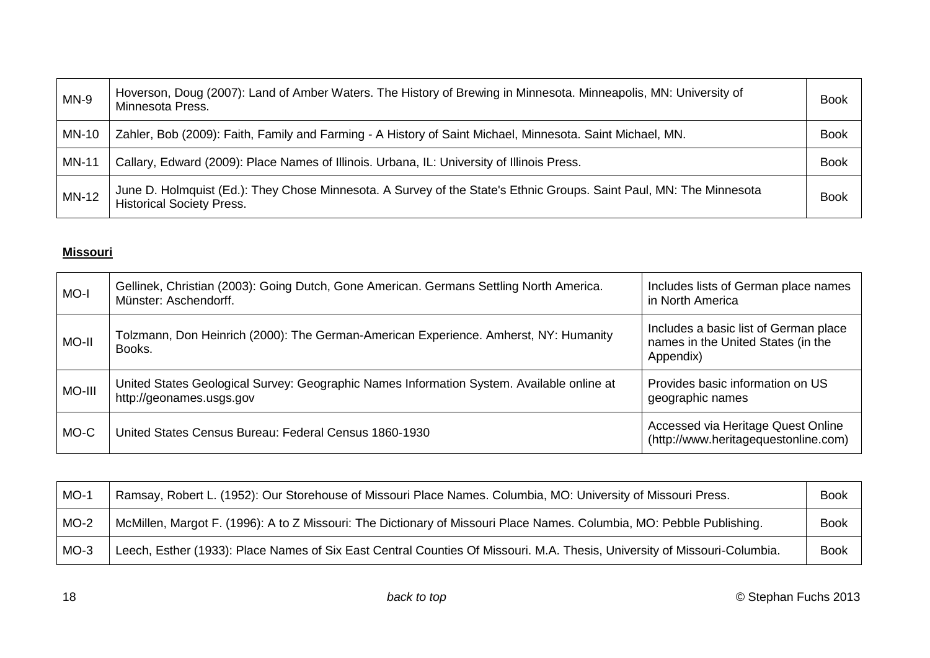<span id="page-17-0"></span>

| $MN-9$       | Hoverson, Doug (2007): Land of Amber Waters. The History of Brewing in Minnesota. Minneapolis, MN: University of<br>Minnesota Press.                    | <b>Book</b> |
|--------------|---------------------------------------------------------------------------------------------------------------------------------------------------------|-------------|
| MN-10        | Zahler, Bob (2009): Faith, Family and Farming - A History of Saint Michael, Minnesota. Saint Michael, MN.                                               | <b>Book</b> |
| <b>MN-11</b> | Callary, Edward (2009): Place Names of Illinois. Urbana, IL: University of Illinois Press.                                                              | <b>Book</b> |
| <b>MN-12</b> | June D. Holmquist (Ed.): They Chose Minnesota. A Survey of the State's Ethnic Groups. Saint Paul, MN: The Minnesota<br><b>Historical Society Press.</b> | <b>Book</b> |

#### **Missouri**

| MO-I   | Gellinek, Christian (2003): Going Dutch, Gone American. Germans Settling North America.<br>Münster: Aschendorff.      | Includes lists of German place names<br>in North America                                 |
|--------|-----------------------------------------------------------------------------------------------------------------------|------------------------------------------------------------------------------------------|
| MO-II  | Tolzmann, Don Heinrich (2000): The German-American Experience. Amherst, NY: Humanity<br>Books.                        | Includes a basic list of German place<br>names in the United States (in the<br>Appendix) |
| MO-III | United States Geological Survey: Geographic Names Information System. Available online at<br>http://geonames.usgs.gov | Provides basic information on US<br>geographic names                                     |
| MO-C   | United States Census Bureau: Federal Census 1860-1930                                                                 | Accessed via Heritage Quest Online<br>(http://www.heritagequestonline.com)               |

| $MO-1$ | Ramsay, Robert L. (1952): Our Storehouse of Missouri Place Names. Columbia, MO: University of Missouri Press.             | <b>Book</b> |
|--------|---------------------------------------------------------------------------------------------------------------------------|-------------|
| $MO-2$ | McMillen, Margot F. (1996): A to Z Missouri: The Dictionary of Missouri Place Names. Columbia, MO: Pebble Publishing.     | <b>Book</b> |
| $MO-3$ | Leech, Esther (1933): Place Names of Six East Central Counties Of Missouri. M.A. Thesis, University of Missouri-Columbia. | <b>Book</b> |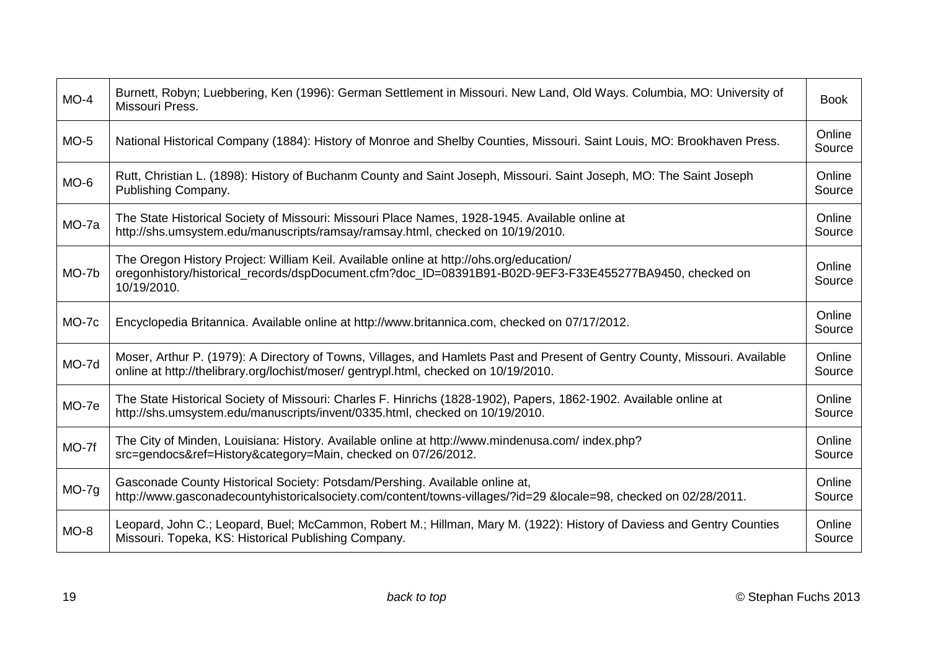| $MO-4$  | Burnett, Robyn; Luebbering, Ken (1996): German Settlement in Missouri. New Land, Old Ways. Columbia, MO: University of<br>Missouri Press.                                                                           | <b>Book</b>      |
|---------|---------------------------------------------------------------------------------------------------------------------------------------------------------------------------------------------------------------------|------------------|
| $MO-5$  | National Historical Company (1884): History of Monroe and Shelby Counties, Missouri. Saint Louis, MO: Brookhaven Press.                                                                                             | Online<br>Source |
| $MO-6$  | Rutt, Christian L. (1898): History of Buchanm County and Saint Joseph, Missouri. Saint Joseph, MO: The Saint Joseph<br>Publishing Company.                                                                          | Online<br>Source |
| MO-7a   | The State Historical Society of Missouri: Missouri Place Names, 1928-1945. Available online at<br>http://shs.umsystem.edu/manuscripts/ramsay/ramsay.html, checked on 10/19/2010.                                    | Online<br>Source |
| MO-7b   | The Oregon History Project: William Keil. Available online at http://ohs.org/education/<br>oregonhistory/historical_records/dspDocument.cfm?doc_ID=08391B91-B02D-9EF3-F33E455277BA9450, checked on<br>10/19/2010.   | Online<br>Source |
| MO-7c   | Encyclopedia Britannica. Available online at http://www.britannica.com, checked on 07/17/2012.                                                                                                                      | Online<br>Source |
| MO-7d   | Moser, Arthur P. (1979): A Directory of Towns, Villages, and Hamlets Past and Present of Gentry County, Missouri. Available<br>online at http://thelibrary.org/lochist/moser/ gentrypl.html, checked on 10/19/2010. | Online<br>Source |
| MO-7e   | The State Historical Society of Missouri: Charles F. Hinrichs (1828-1902), Papers, 1862-1902. Available online at<br>http://shs.umsystem.edu/manuscripts/invent/0335.html, checked on 10/19/2010.                   | Online<br>Source |
| MO-7f   | The City of Minden, Louisiana: History. Available online at http://www.mindenusa.com/index.php?<br>src=gendocs&ref=History&category=Main, checked on 07/26/2012.                                                    | Online<br>Source |
| $MO-7g$ | Gasconade County Historical Society: Potsdam/Pershing. Available online at,<br>http://www.gasconadecountyhistoricalsociety.com/content/towns-villages/?id=29 &locale=98, checked on 02/28/2011.                     | Online<br>Source |
| $MO-8$  | Leopard, John C.; Leopard, Buel; McCammon, Robert M.; Hillman, Mary M. (1922): History of Daviess and Gentry Counties<br>Missouri. Topeka, KS: Historical Publishing Company.                                       | Online<br>Source |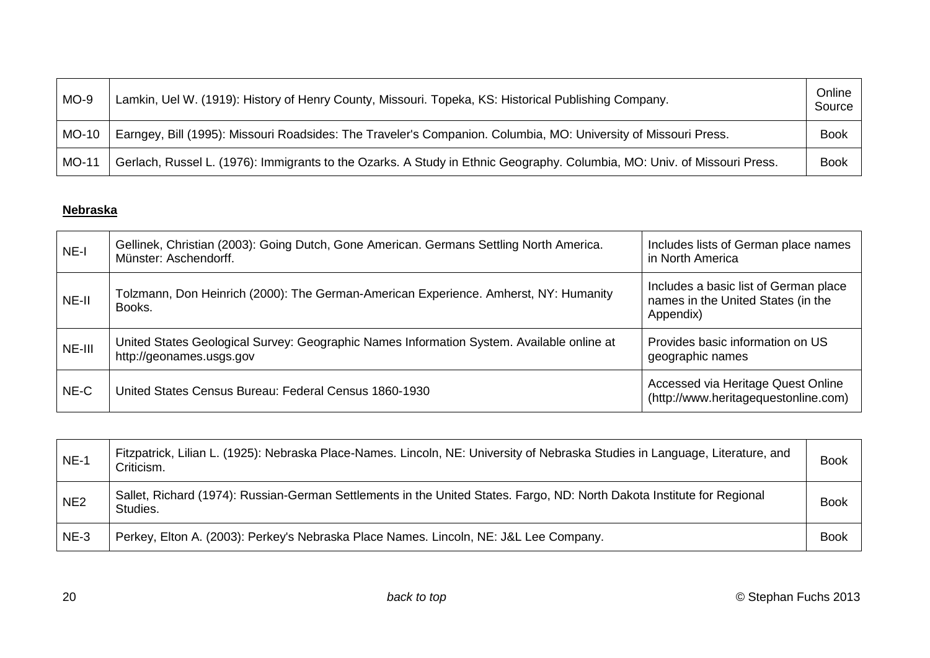<span id="page-19-0"></span>

| $MO-9$ | Lamkin, Uel W. (1919): History of Henry County, Missouri. Topeka, KS: Historical Publishing Company.                     | Online<br>Source |
|--------|--------------------------------------------------------------------------------------------------------------------------|------------------|
| MO-10  | Earngey, Bill (1995): Missouri Roadsides: The Traveler's Companion. Columbia, MO: University of Missouri Press.          | <b>Book</b>      |
| MO-11  | Gerlach, Russel L. (1976): Immigrants to the Ozarks. A Study in Ethnic Geography. Columbia, MO: Univ. of Missouri Press. | <b>Book</b>      |

# **Nebraska**

| NE-I   | Gellinek, Christian (2003): Going Dutch, Gone American. Germans Settling North America.<br>Münster: Aschendorff.      | Includes lists of German place names<br>in North America                                 |
|--------|-----------------------------------------------------------------------------------------------------------------------|------------------------------------------------------------------------------------------|
| NE-II  | Tolzmann, Don Heinrich (2000): The German-American Experience. Amherst, NY: Humanity<br>Books.                        | Includes a basic list of German place<br>names in the United States (in the<br>Appendix) |
| NE-III | United States Geological Survey: Geographic Names Information System. Available online at<br>http://geonames.usgs.gov | Provides basic information on US<br>geographic names                                     |
| NE-C   | United States Census Bureau: Federal Census 1860-1930                                                                 | Accessed via Heritage Quest Online<br>(http://www.heritagequestonline.com)               |

| $NE-1$          | Fitzpatrick, Lilian L. (1925): Nebraska Place-Names. Lincoln, NE: University of Nebraska Studies in Language, Literature, and<br>Criticism. | <b>Book</b> |
|-----------------|---------------------------------------------------------------------------------------------------------------------------------------------|-------------|
| NE <sub>2</sub> | Sallet, Richard (1974): Russian-German Settlements in the United States. Fargo, ND: North Dakota Institute for Regional<br>Studies.         | <b>Book</b> |
| $NE-3$          | Perkey, Elton A. (2003): Perkey's Nebraska Place Names. Lincoln, NE: J&L Lee Company.                                                       | <b>Book</b> |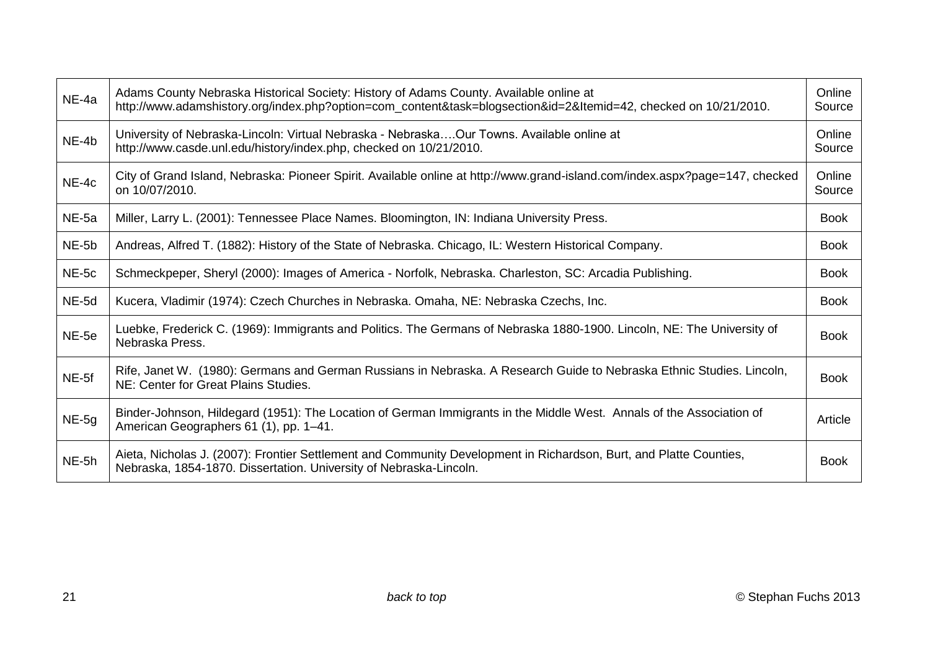| NE-4a | Adams County Nebraska Historical Society: History of Adams County. Available online at<br>http://www.adamshistory.org/index.php?option=com_content&task=blogsection&id=2&Itemid=42, checked on 10/21/2010. | Online<br>Source |
|-------|------------------------------------------------------------------------------------------------------------------------------------------------------------------------------------------------------------|------------------|
| NE-4b | University of Nebraska-Lincoln: Virtual Nebraska - NebraskaOur Towns. Available online at<br>http://www.casde.unl.edu/history/index.php, checked on 10/21/2010.                                            | Online<br>Source |
| NE-4c | City of Grand Island, Nebraska: Pioneer Spirit. Available online at http://www.grand-island.com/index.aspx?page=147, checked<br>on 10/07/2010.                                                             | Online<br>Source |
| NE-5a | Miller, Larry L. (2001): Tennessee Place Names. Bloomington, IN: Indiana University Press.                                                                                                                 | <b>Book</b>      |
| NE-5b | Andreas, Alfred T. (1882): History of the State of Nebraska. Chicago, IL: Western Historical Company.                                                                                                      | <b>Book</b>      |
| NE-5c | Schmeckpeper, Sheryl (2000): Images of America - Norfolk, Nebraska. Charleston, SC: Arcadia Publishing.                                                                                                    | <b>Book</b>      |
| NE-5d | Kucera, Vladimir (1974): Czech Churches in Nebraska. Omaha, NE: Nebraska Czechs, Inc.                                                                                                                      | <b>Book</b>      |
| NE-5e | Luebke, Frederick C. (1969): Immigrants and Politics. The Germans of Nebraska 1880-1900. Lincoln, NE: The University of<br>Nebraska Press.                                                                 | <b>Book</b>      |
| NE-5f | Rife, Janet W. (1980): Germans and German Russians in Nebraska. A Research Guide to Nebraska Ethnic Studies. Lincoln,<br>NE: Center for Great Plains Studies.                                              | <b>Book</b>      |
| NE-5g | Binder-Johnson, Hildegard (1951): The Location of German Immigrants in the Middle West. Annals of the Association of<br>American Geographers 61 (1), pp. 1-41.                                             | Article          |
| NE-5h | Aieta, Nicholas J. (2007): Frontier Settlement and Community Development in Richardson, Burt, and Platte Counties,<br>Nebraska, 1854-1870. Dissertation. University of Nebraska-Lincoln.                   | <b>Book</b>      |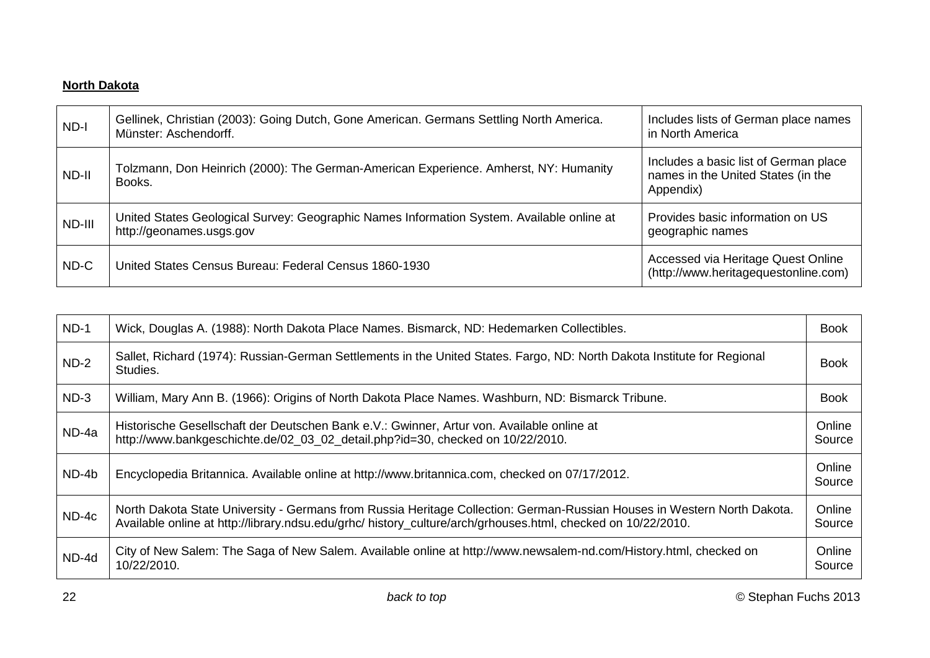### <span id="page-21-0"></span>**North Dakota**

| $ND-I$ | Gellinek, Christian (2003): Going Dutch, Gone American. Germans Settling North America.<br>Münster: Aschendorff.      | Includes lists of German place names<br>in North America                                 |
|--------|-----------------------------------------------------------------------------------------------------------------------|------------------------------------------------------------------------------------------|
| ND-II  | Tolzmann, Don Heinrich (2000): The German-American Experience. Amherst, NY: Humanity<br>Books.                        | Includes a basic list of German place<br>names in the United States (in the<br>Appendix) |
| ND-III | United States Geological Survey: Geographic Names Information System. Available online at<br>http://geonames.usgs.gov | Provides basic information on US<br>geographic names                                     |
| ND-C   | United States Census Bureau: Federal Census 1860-1930                                                                 | Accessed via Heritage Quest Online<br>(http://www.heritagequestonline.com)               |

| $ND-1$  | Wick, Douglas A. (1988): North Dakota Place Names. Bismarck, ND: Hedemarken Collectibles.                                                                                                                                               | <b>Book</b>      |
|---------|-----------------------------------------------------------------------------------------------------------------------------------------------------------------------------------------------------------------------------------------|------------------|
| $ND-2$  | Sallet, Richard (1974): Russian-German Settlements in the United States. Fargo, ND: North Dakota Institute for Regional<br>Studies.                                                                                                     |                  |
| $ND-3$  | William, Mary Ann B. (1966): Origins of North Dakota Place Names. Washburn, ND: Bismarck Tribune.                                                                                                                                       | <b>Book</b>      |
| ND-4a   | Historische Gesellschaft der Deutschen Bank e.V.: Gwinner, Artur von. Available online at<br>http://www.bankgeschichte.de/02_03_02_detail.php?id=30, checked on 10/22/2010.                                                             | Online<br>Source |
| ND-4b   | Encyclopedia Britannica. Available online at http://www.britannica.com, checked on 07/17/2012.                                                                                                                                          | Online<br>Source |
| $ND-4c$ | North Dakota State University - Germans from Russia Heritage Collection: German-Russian Houses in Western North Dakota.<br>Available online at http://library.ndsu.edu/grhc/ history_culture/arch/grhouses.html, checked on 10/22/2010. | Online<br>Source |
| ND-4d   | City of New Salem: The Saga of New Salem. Available online at http://www.newsalem-nd.com/History.html, checked on<br>10/22/2010.                                                                                                        | Online<br>Source |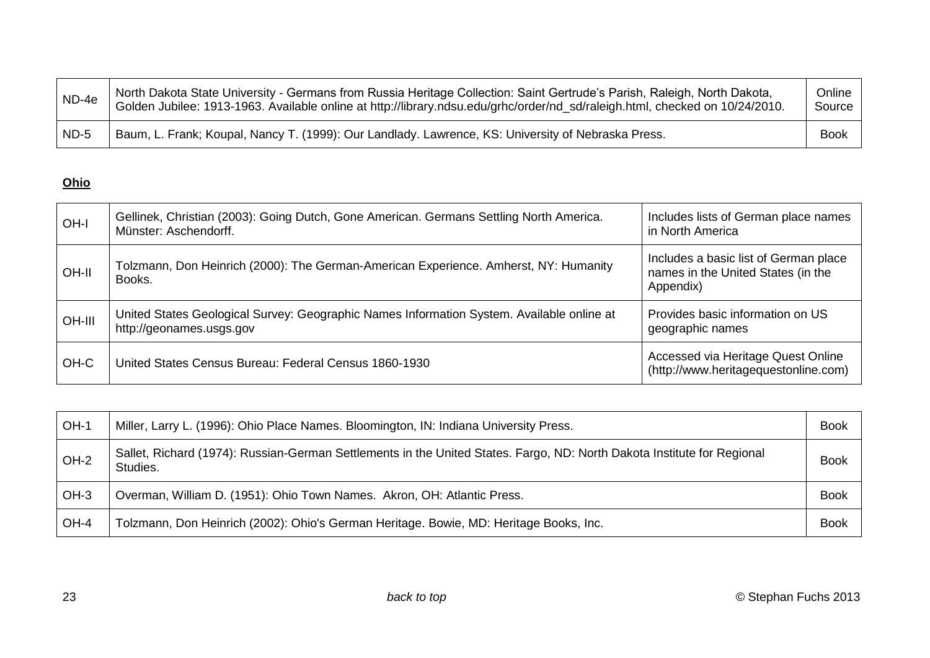<span id="page-22-0"></span>

| ND-4e  | North Dakota State University - Germans from Russia Heritage Collection: Saint Gertrude's Parish, Raleigh, North Dakota,<br>Golden Jubilee: 1913-1963. Available online at http://library.ndsu.edu/grhc/order/nd_sd/raleigh.html, checked on 10/24/2010. | Online<br>Source |
|--------|----------------------------------------------------------------------------------------------------------------------------------------------------------------------------------------------------------------------------------------------------------|------------------|
| $ND-5$ | Baum, L. Frank; Koupal, Nancy T. (1999): Our Landlady. Lawrence, KS: University of Nebraska Press.                                                                                                                                                       | <b>Book</b>      |

# **Ohio**

| OH-I   | Gellinek, Christian (2003): Going Dutch, Gone American. Germans Settling North America.<br>Münster: Aschendorff.      | Includes lists of German place names<br>in North America                                 |
|--------|-----------------------------------------------------------------------------------------------------------------------|------------------------------------------------------------------------------------------|
| OH-II  | Tolzmann, Don Heinrich (2000): The German-American Experience. Amherst, NY: Humanity<br>Books.                        | Includes a basic list of German place<br>names in the United States (in the<br>Appendix) |
| OH-III | United States Geological Survey: Geographic Names Information System. Available online at<br>http://geonames.usgs.gov | Provides basic information on US<br>geographic names                                     |
| OH-C   | United States Census Bureau: Federal Census 1860-1930                                                                 | Accessed via Heritage Quest Online<br>(http://www.heritagequestonline.com)               |

| OH-1   | Miller, Larry L. (1996): Ohio Place Names. Bloomington, IN: Indiana University Press.                                               | <b>Book</b> |
|--------|-------------------------------------------------------------------------------------------------------------------------------------|-------------|
| $OH-2$ | Sallet, Richard (1974): Russian-German Settlements in the United States. Fargo, ND: North Dakota Institute for Regional<br>Studies. | <b>Book</b> |
| $OH-3$ | Overman, William D. (1951): Ohio Town Names. Akron, OH: Atlantic Press.                                                             | <b>Book</b> |
| OH-4   | Tolzmann, Don Heinrich (2002): Ohio's German Heritage. Bowie, MD: Heritage Books, Inc.                                              | <b>Book</b> |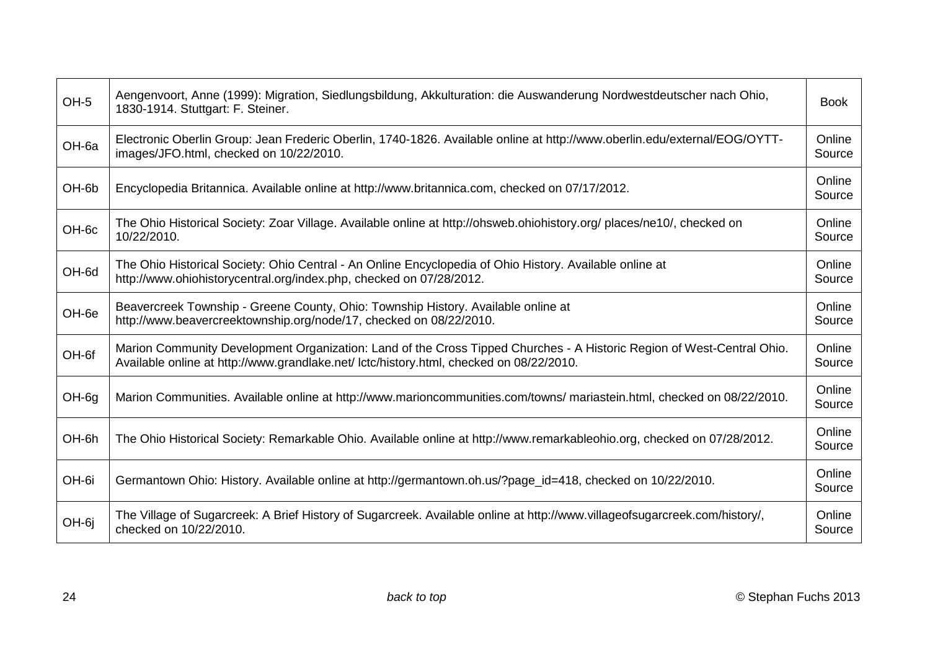| OH-5  | Aengenvoort, Anne (1999): Migration, Siedlungsbildung, Akkulturation: die Auswanderung Nordwestdeutscher nach Ohio,<br>1830-1914. Stuttgart: F. Steiner.                                                          | <b>Book</b>      |
|-------|-------------------------------------------------------------------------------------------------------------------------------------------------------------------------------------------------------------------|------------------|
| OH-6a | Electronic Oberlin Group: Jean Frederic Oberlin, 1740-1826. Available online at http://www.oberlin.edu/external/EOG/OYTT-<br>images/JFO.html, checked on 10/22/2010.                                              | Online<br>Source |
| OH-6b | Encyclopedia Britannica. Available online at http://www.britannica.com, checked on 07/17/2012.                                                                                                                    | Online<br>Source |
| OH-6c | The Ohio Historical Society: Zoar Village. Available online at http://ohsweb.ohiohistory.org/places/ne10/, checked on<br>10/22/2010.                                                                              | Online<br>Source |
| OH-6d | The Ohio Historical Society: Ohio Central - An Online Encyclopedia of Ohio History. Available online at<br>http://www.ohiohistorycentral.org/index.php, checked on 07/28/2012.                                    | Online<br>Source |
| OH-6e | Beavercreek Township - Greene County, Ohio: Township History. Available online at<br>http://www.beavercreektownship.org/node/17, checked on 08/22/2010.                                                           | Online<br>Source |
| OH-6f | Marion Community Development Organization: Land of the Cross Tipped Churches - A Historic Region of West-Central Ohio.<br>Available online at http://www.grandlake.net/ lctc/history.html, checked on 08/22/2010. | Online<br>Source |
| OH-6g | Marion Communities. Available online at http://www.marioncommunities.com/towns/ mariastein.html, checked on 08/22/2010.                                                                                           | Online<br>Source |
| OH-6h | The Ohio Historical Society: Remarkable Ohio. Available online at http://www.remarkableohio.org, checked on 07/28/2012.                                                                                           | Online<br>Source |
| OH-6i | Germantown Ohio: History. Available online at http://germantown.oh.us/?page_id=418, checked on 10/22/2010.                                                                                                        | Online<br>Source |
| OH-6j | The Village of Sugarcreek: A Brief History of Sugarcreek. Available online at http://www.villageofsugarcreek.com/history/,<br>checked on 10/22/2010.                                                              | Online<br>Source |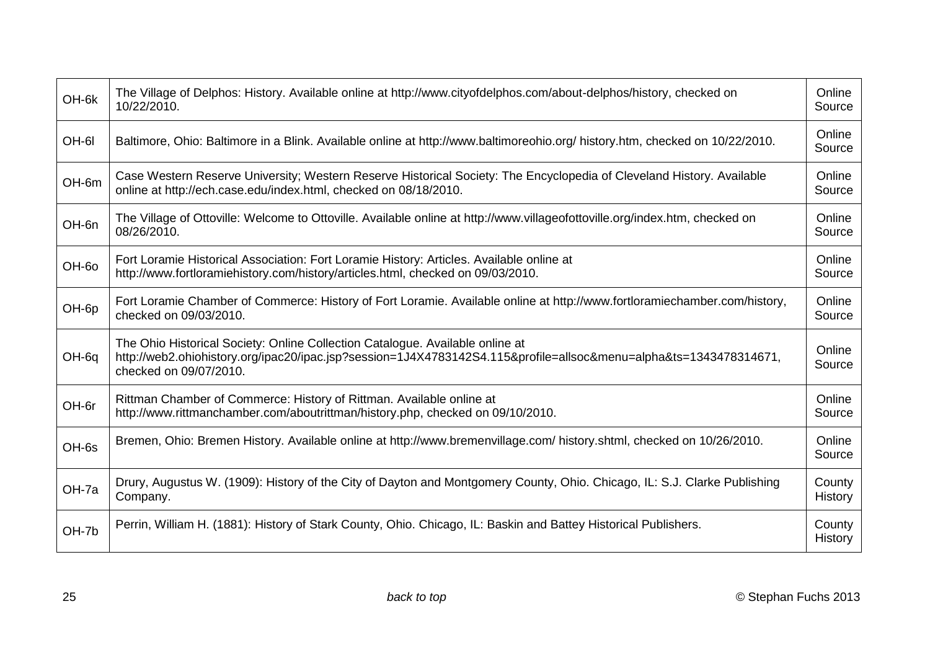| OH-6k | The Village of Delphos: History. Available online at http://www.cityofdelphos.com/about-delphos/history, checked on<br>10/22/2010.                                                                                           | Online<br>Source  |
|-------|------------------------------------------------------------------------------------------------------------------------------------------------------------------------------------------------------------------------------|-------------------|
| OH-6I | Baltimore, Ohio: Baltimore in a Blink. Available online at http://www.baltimoreohio.org/ history.htm, checked on 10/22/2010.                                                                                                 | Online<br>Source  |
| OH-6m | Case Western Reserve University; Western Reserve Historical Society: The Encyclopedia of Cleveland History. Available<br>online at http://ech.case.edu/index.html, checked on 08/18/2010.                                    | Online<br>Source  |
| OH-6n | The Village of Ottoville: Welcome to Ottoville. Available online at http://www.villageofottoville.org/index.htm, checked on<br>08/26/2010.                                                                                   | Online<br>Source  |
| OH-60 | Fort Loramie Historical Association: Fort Loramie History: Articles. Available online at<br>http://www.fortloramiehistory.com/history/articles.html, checked on 09/03/2010.                                                  | Online<br>Source  |
| OH-6p | Fort Loramie Chamber of Commerce: History of Fort Loramie. Available online at http://www.fortloramiechamber.com/history,<br>checked on 09/03/2010.                                                                          | Online<br>Source  |
| OH-6q | The Ohio Historical Society: Online Collection Catalogue. Available online at<br>http://web2.ohiohistory.org/ipac20/ipac.jsp?session=1J4X4783142S4.115&profile=allsoc&menu=alpha&ts=1343478314671,<br>checked on 09/07/2010. | Online<br>Source  |
| OH-6r | Rittman Chamber of Commerce: History of Rittman. Available online at<br>http://www.rittmanchamber.com/aboutrittman/history.php, checked on 09/10/2010.                                                                       | Online<br>Source  |
| OH-6s | Bremen, Ohio: Bremen History. Available online at http://www.bremenvillage.com/ history.shtml, checked on 10/26/2010.                                                                                                        | Online<br>Source  |
| OH-7a | Drury, Augustus W. (1909): History of the City of Dayton and Montgomery County, Ohio. Chicago, IL: S.J. Clarke Publishing<br>Company.                                                                                        | County<br>History |
| OH-7b | Perrin, William H. (1881): History of Stark County, Ohio. Chicago, IL: Baskin and Battey Historical Publishers.                                                                                                              | County<br>History |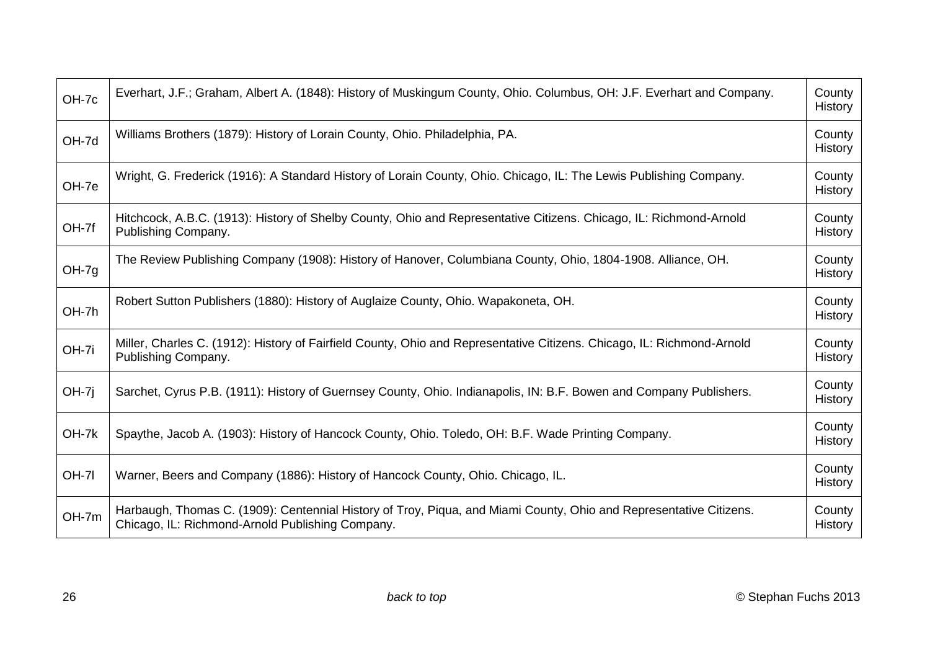| OH-7c        | Everhart, J.F.; Graham, Albert A. (1848): History of Muskingum County, Ohio. Columbus, OH: J.F. Everhart and Company.                                                  | County<br>History        |
|--------------|------------------------------------------------------------------------------------------------------------------------------------------------------------------------|--------------------------|
| OH-7d        | Williams Brothers (1879): History of Lorain County, Ohio. Philadelphia, PA.                                                                                            | County<br>History        |
| OH-7e        | Wright, G. Frederick (1916): A Standard History of Lorain County, Ohio. Chicago, IL: The Lewis Publishing Company.                                                     | County<br><b>History</b> |
| OH-7f        | Hitchcock, A.B.C. (1913): History of Shelby County, Ohio and Representative Citizens. Chicago, IL: Richmond-Arnold<br>Publishing Company.                              | County<br>History        |
| $OH-7g$      | The Review Publishing Company (1908): History of Hanover, Columbiana County, Ohio, 1804-1908. Alliance, OH.                                                            | County<br><b>History</b> |
| OH-7h        | Robert Sutton Publishers (1880): History of Auglaize County, Ohio. Wapakoneta, OH.                                                                                     | County<br>History        |
| OH-7i        | Miller, Charles C. (1912): History of Fairfield County, Ohio and Representative Citizens. Chicago, IL: Richmond-Arnold<br>Publishing Company.                          | County<br>History        |
| $OH-7j$      | Sarchet, Cyrus P.B. (1911): History of Guernsey County, Ohio. Indianapolis, IN: B.F. Bowen and Company Publishers.                                                     | County<br>History        |
| OH-7k        | Spaythe, Jacob A. (1903): History of Hancock County, Ohio. Toledo, OH: B.F. Wade Printing Company.                                                                     | County<br>History        |
| <b>OH-71</b> | Warner, Beers and Company (1886): History of Hancock County, Ohio. Chicago, IL.                                                                                        | County<br>History        |
| OH-7m        | Harbaugh, Thomas C. (1909): Centennial History of Troy, Piqua, and Miami County, Ohio and Representative Citizens.<br>Chicago, IL: Richmond-Arnold Publishing Company. | County<br>History        |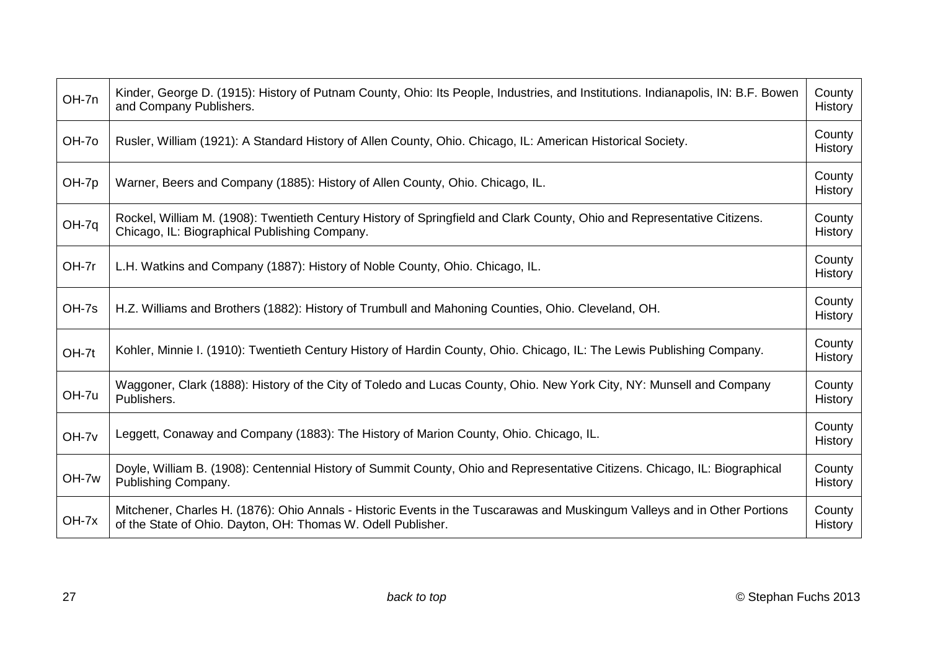| OH-7n | Kinder, George D. (1915): History of Putnam County, Ohio: Its People, Industries, and Institutions. Indianapolis, IN: B.F. Bowen<br>and Company Publishers.                               | County<br><b>History</b> |
|-------|-------------------------------------------------------------------------------------------------------------------------------------------------------------------------------------------|--------------------------|
| OH-70 | Rusler, William (1921): A Standard History of Allen County, Ohio. Chicago, IL: American Historical Society.                                                                               | County<br>History        |
| OH-7p | Warner, Beers and Company (1885): History of Allen County, Ohio. Chicago, IL.                                                                                                             | County<br><b>History</b> |
| OH-7q | Rockel, William M. (1908): Twentieth Century History of Springfield and Clark County, Ohio and Representative Citizens.<br>Chicago, IL: Biographical Publishing Company.                  | County<br>History        |
| OH-7r | L.H. Watkins and Company (1887): History of Noble County, Ohio. Chicago, IL.                                                                                                              | County<br><b>History</b> |
| OH-7s | H.Z. Williams and Brothers (1882): History of Trumbull and Mahoning Counties, Ohio. Cleveland, OH.                                                                                        | County<br><b>History</b> |
| OH-7t | Kohler, Minnie I. (1910): Twentieth Century History of Hardin County, Ohio. Chicago, IL: The Lewis Publishing Company.                                                                    | County<br>History        |
| OH-7u | Waggoner, Clark (1888): History of the City of Toledo and Lucas County, Ohio. New York City, NY: Munsell and Company<br>Publishers.                                                       | County<br>History        |
| OH-7v | Leggett, Conaway and Company (1883): The History of Marion County, Ohio. Chicago, IL.                                                                                                     | County<br><b>History</b> |
| OH-7w | Doyle, William B. (1908): Centennial History of Summit County, Ohio and Representative Citizens. Chicago, IL: Biographical<br>Publishing Company.                                         | County<br><b>History</b> |
| OH-7x | Mitchener, Charles H. (1876): Ohio Annals - Historic Events in the Tuscarawas and Muskingum Valleys and in Other Portions<br>of the State of Ohio. Dayton, OH: Thomas W. Odell Publisher. | County<br><b>History</b> |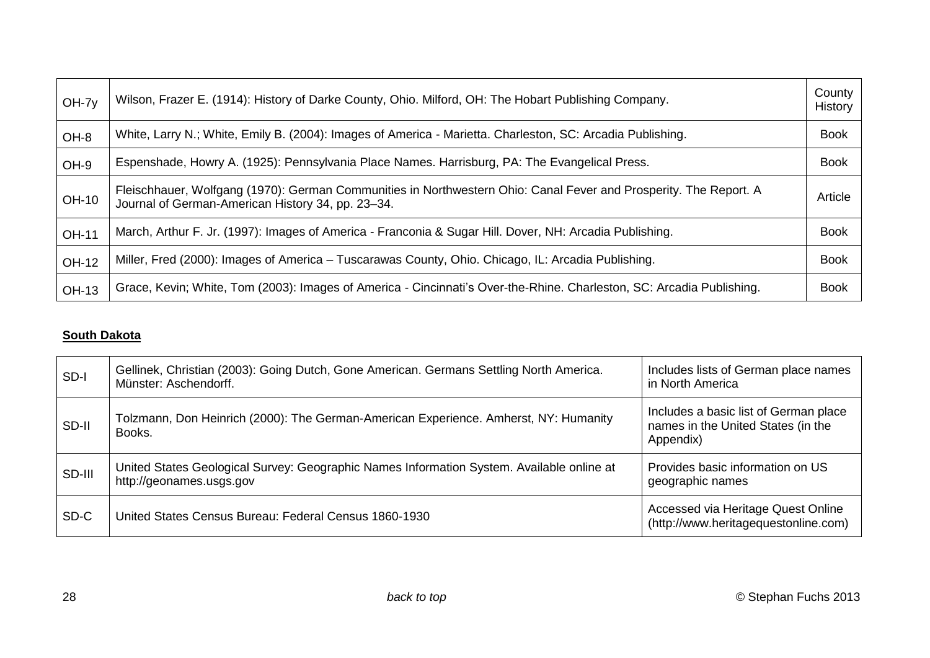<span id="page-27-0"></span>

| $OH-7y$      | Wilson, Frazer E. (1914): History of Darke County, Ohio. Milford, OH: The Hobart Publishing Company.                                                                   | County<br>History |
|--------------|------------------------------------------------------------------------------------------------------------------------------------------------------------------------|-------------------|
| OH-8         | White, Larry N.; White, Emily B. (2004): Images of America - Marietta. Charleston, SC: Arcadia Publishing.                                                             | <b>Book</b>       |
| OH-9         | Espenshade, Howry A. (1925): Pennsylvania Place Names. Harrisburg, PA: The Evangelical Press.                                                                          | <b>Book</b>       |
| <b>OH-10</b> | Fleischhauer, Wolfgang (1970): German Communities in Northwestern Ohio: Canal Fever and Prosperity. The Report. A<br>Journal of German-American History 34, pp. 23-34. | Article           |
| <b>OH-11</b> | March, Arthur F. Jr. (1997): Images of America - Franconia & Sugar Hill. Dover, NH: Arcadia Publishing.                                                                | <b>Book</b>       |
| <b>OH-12</b> | Miller, Fred (2000): Images of America - Tuscarawas County, Ohio. Chicago, IL: Arcadia Publishing.                                                                     | <b>Book</b>       |
| <b>OH-13</b> | Grace, Kevin; White, Tom (2003): Images of America - Cincinnati's Over-the-Rhine. Charleston, SC: Arcadia Publishing.                                                  | <b>Book</b>       |

### **South Dakota**

| SD-I   | Gellinek, Christian (2003): Going Dutch, Gone American. Germans Settling North America.<br>Münster: Aschendorff.      | Includes lists of German place names<br>in North America                                 |
|--------|-----------------------------------------------------------------------------------------------------------------------|------------------------------------------------------------------------------------------|
| SD-II  | Tolzmann, Don Heinrich (2000): The German-American Experience. Amherst, NY: Humanity<br>Books.                        | Includes a basic list of German place<br>names in the United States (in the<br>Appendix) |
| SD-III | United States Geological Survey: Geographic Names Information System. Available online at<br>http://geonames.usgs.gov | Provides basic information on US<br>geographic names                                     |
| SD-C   | United States Census Bureau: Federal Census 1860-1930                                                                 | Accessed via Heritage Quest Online<br>(http://www.heritagequestonline.com)               |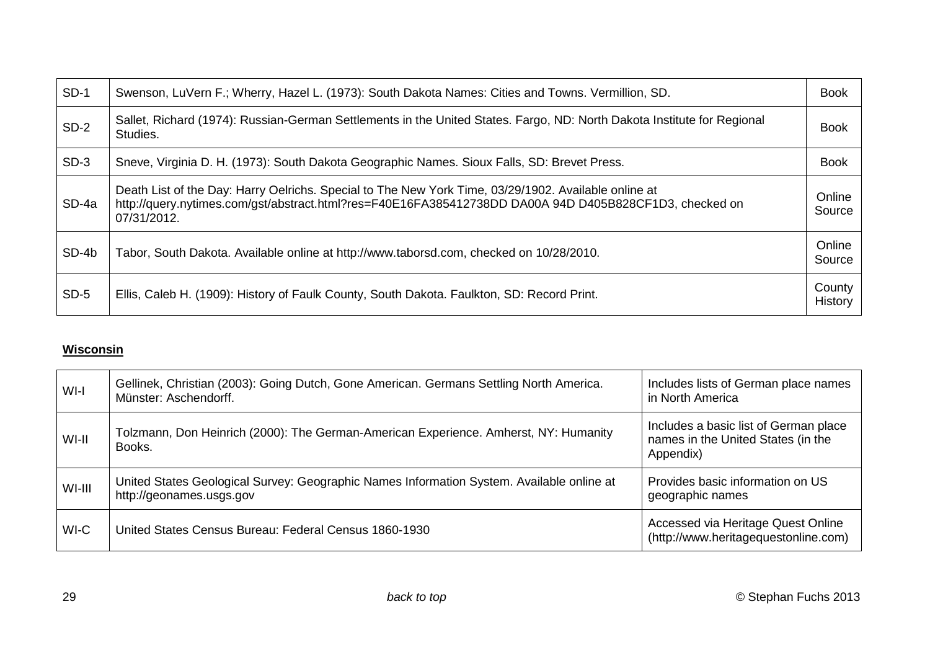<span id="page-28-0"></span>

| $SD-1$ | Swenson, LuVern F.; Wherry, Hazel L. (1973): South Dakota Names: Cities and Towns. Vermillion, SD.                                                                                                                            | <b>Book</b>       |
|--------|-------------------------------------------------------------------------------------------------------------------------------------------------------------------------------------------------------------------------------|-------------------|
| $SD-2$ | Sallet, Richard (1974): Russian-German Settlements in the United States. Fargo, ND: North Dakota Institute for Regional<br>Studies.                                                                                           | <b>Book</b>       |
| $SD-3$ | Sneve, Virginia D. H. (1973): South Dakota Geographic Names. Sioux Falls, SD: Brevet Press.                                                                                                                                   | <b>Book</b>       |
| SD-4a  | Death List of the Day: Harry Oelrichs. Special to The New York Time, 03/29/1902. Available online at<br>http://query.nytimes.com/gst/abstract.html?res=F40E16FA385412738DD DA00A 94D D405B828CF1D3, checked on<br>07/31/2012. | Online<br>Source  |
| SD-4b  | Tabor, South Dakota. Available online at http://www.taborsd.com, checked on 10/28/2010.                                                                                                                                       | Online<br>Source  |
| $SD-5$ | Ellis, Caleb H. (1909): History of Faulk County, South Dakota. Faulkton, SD: Record Print.                                                                                                                                    | County<br>History |

### **Wisconsin**

| WI-I   | Gellinek, Christian (2003): Going Dutch, Gone American. Germans Settling North America.<br>Münster: Aschendorff.      | Includes lists of German place names<br>in North America                                 |
|--------|-----------------------------------------------------------------------------------------------------------------------|------------------------------------------------------------------------------------------|
| WI-II  | Tolzmann, Don Heinrich (2000): The German-American Experience. Amherst, NY: Humanity<br>Books.                        | Includes a basic list of German place<br>names in the United States (in the<br>Appendix) |
| WI-III | United States Geological Survey: Geographic Names Information System. Available online at<br>http://geonames.usgs.gov | Provides basic information on US<br>geographic names                                     |
| WI-C   | United States Census Bureau: Federal Census 1860-1930                                                                 | Accessed via Heritage Quest Online<br>(http://www.heritagequestonline.com)               |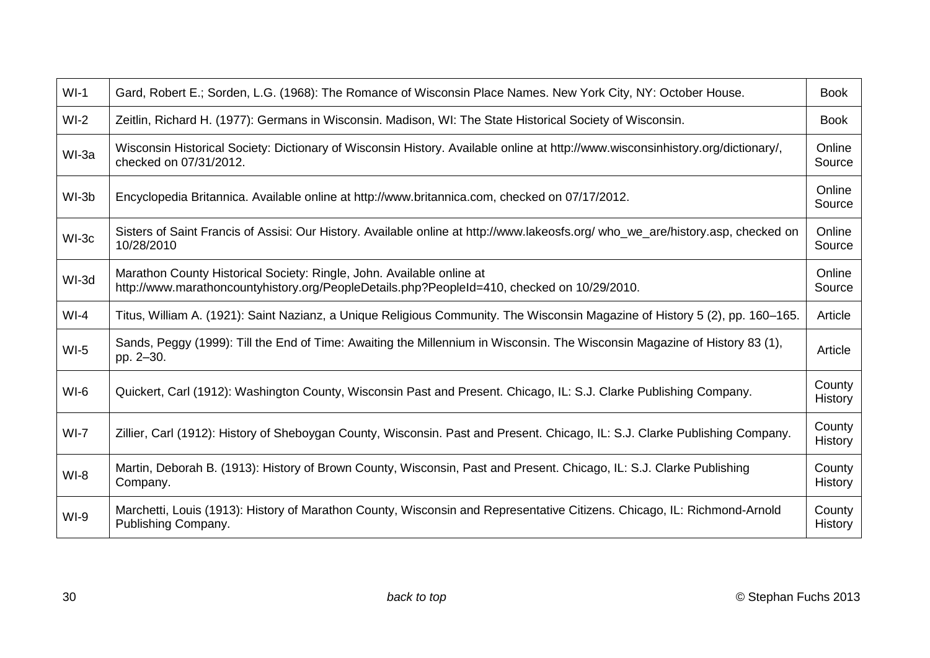| $WI-1$ | Gard, Robert E.; Sorden, L.G. (1968): The Romance of Wisconsin Place Names. New York City, NY: October House.                                                        | <b>Book</b>              |
|--------|----------------------------------------------------------------------------------------------------------------------------------------------------------------------|--------------------------|
| $WI-2$ | Zeitlin, Richard H. (1977): Germans in Wisconsin. Madison, WI: The State Historical Society of Wisconsin.                                                            | <b>Book</b>              |
| WI-3a  | Wisconsin Historical Society: Dictionary of Wisconsin History. Available online at http://www.wisconsinhistory.org/dictionary/,<br>checked on 07/31/2012.            | Online<br>Source         |
| WI-3b  | Encyclopedia Britannica. Available online at http://www.britannica.com, checked on 07/17/2012.                                                                       | Online<br>Source         |
| WI-3c  | Sisters of Saint Francis of Assisi: Our History. Available online at http://www.lakeosfs.org/ who_we_are/history.asp, checked on<br>10/28/2010                       | Online<br>Source         |
| WI-3d  | Marathon County Historical Society: Ringle, John. Available online at<br>http://www.marathoncountyhistory.org/PeopleDetails.php?PeopleId=410, checked on 10/29/2010. | Online<br>Source         |
| $WI-4$ | Titus, William A. (1921): Saint Nazianz, a Unique Religious Community. The Wisconsin Magazine of History 5 (2), pp. 160–165.                                         | Article                  |
| $WI-5$ | Sands, Peggy (1999): Till the End of Time: Awaiting the Millennium in Wisconsin. The Wisconsin Magazine of History 83 (1),<br>pp. 2-30.                              | Article                  |
| $WI-6$ | Quickert, Carl (1912): Washington County, Wisconsin Past and Present. Chicago, IL: S.J. Clarke Publishing Company.                                                   | County<br><b>History</b> |
| $WI-7$ | Zillier, Carl (1912): History of Sheboygan County, Wisconsin. Past and Present. Chicago, IL: S.J. Clarke Publishing Company.                                         | County<br><b>History</b> |
| $WI-8$ | Martin, Deborah B. (1913): History of Brown County, Wisconsin, Past and Present. Chicago, IL: S.J. Clarke Publishing<br>Company.                                     | County<br>History        |
| $WI-9$ | Marchetti, Louis (1913): History of Marathon County, Wisconsin and Representative Citizens. Chicago, IL: Richmond-Arnold<br>Publishing Company.                      | County<br>History        |